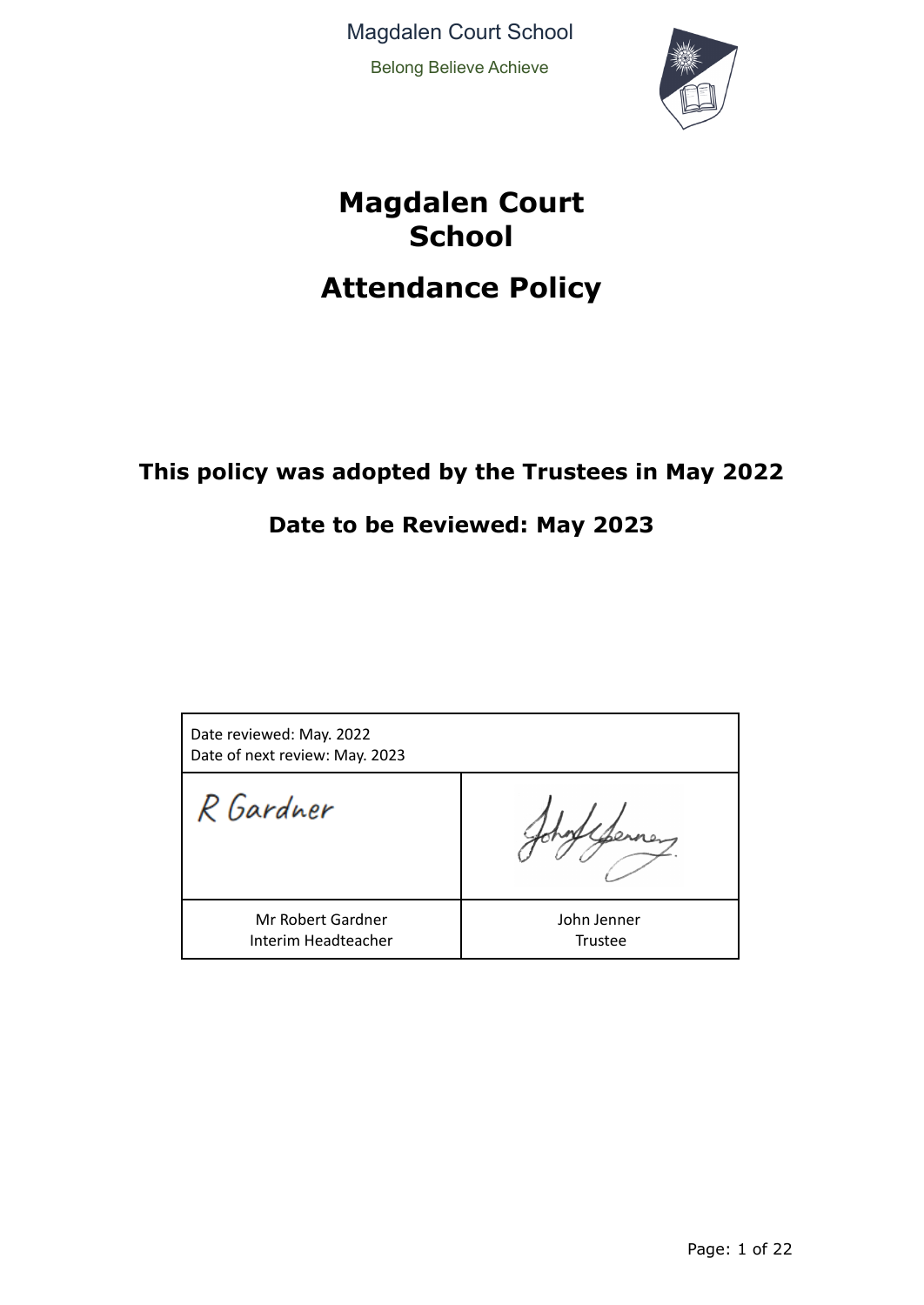Magdalen Court School Belong Believe Achieve



# **Magdalen Court School Attendance Policy**

# **This policy was adopted by the Trustees in May 2022**

# **Date to be Reviewed: May 2023**

| Date reviewed: May. 2022<br>Date of next review: May. 2023 |                               |
|------------------------------------------------------------|-------------------------------|
| R Gardner                                                  |                               |
| Mr Robert Gardner<br>Interim Headteacher                   | John Jenner<br><b>Trustee</b> |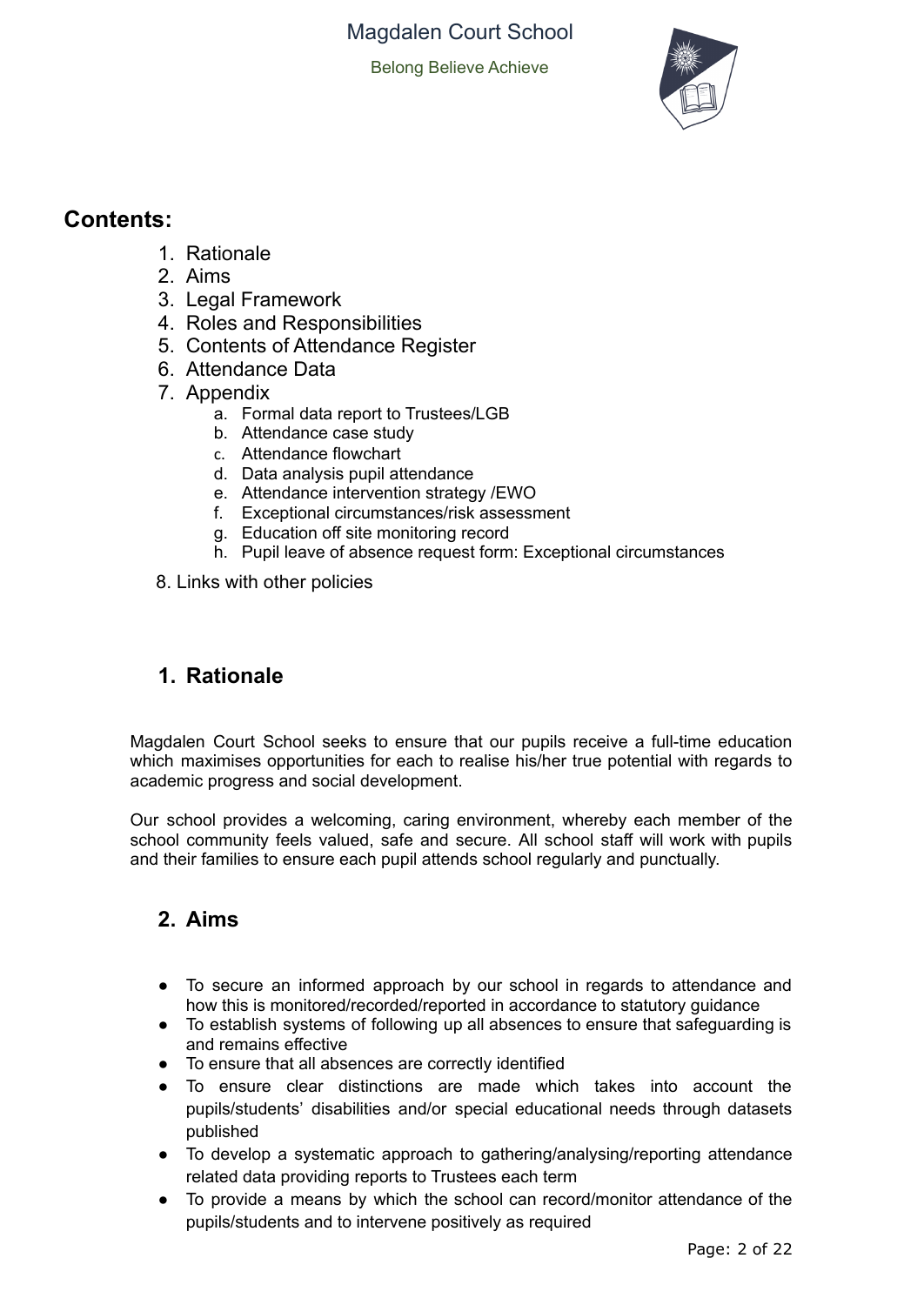Belong Believe Achieve



# **Contents:**

- 1. Rationale
- 2. Aims
- 3. Legal Framework
- 4. Roles and Responsibilities
- 5. Contents of Attendance Register
- 6. Attendance Data
- 7. Appendix
	- a. Formal data report to Trustees/LGB
	- b. Attendance case study
	- c. Attendance flowchart
	- d. Data analysis pupil attendance
	- e. Attendance intervention strategy /EWO
	- f. Exceptional circumstances/risk assessment
	- g. Education off site monitoring record
	- h. Pupil leave of absence request form: Exceptional circumstances
- 8. Links with other policies

# **1. Rationale**

Magdalen Court School seeks to ensure that our pupils receive a full-time education which maximises opportunities for each to realise his/her true potential with regards to academic progress and social development.

Our school provides a welcoming, caring environment, whereby each member of the school community feels valued, safe and secure. All school staff will work with pupils and their families to ensure each pupil attends school regularly and punctually.

# **2. Aims**

- To secure an informed approach by our school in regards to attendance and how this is monitored/recorded/reported in accordance to statutory guidance
- To establish systems of following up all absences to ensure that safeguarding is and remains effective
- To ensure that all absences are correctly identified
- To ensure clear distinctions are made which takes into account the pupils/students' disabilities and/or special educational needs through datasets published
- To develop a systematic approach to gathering/analysing/reporting attendance related data providing reports to Trustees each term
- To provide a means by which the school can record/monitor attendance of the pupils/students and to intervene positively as required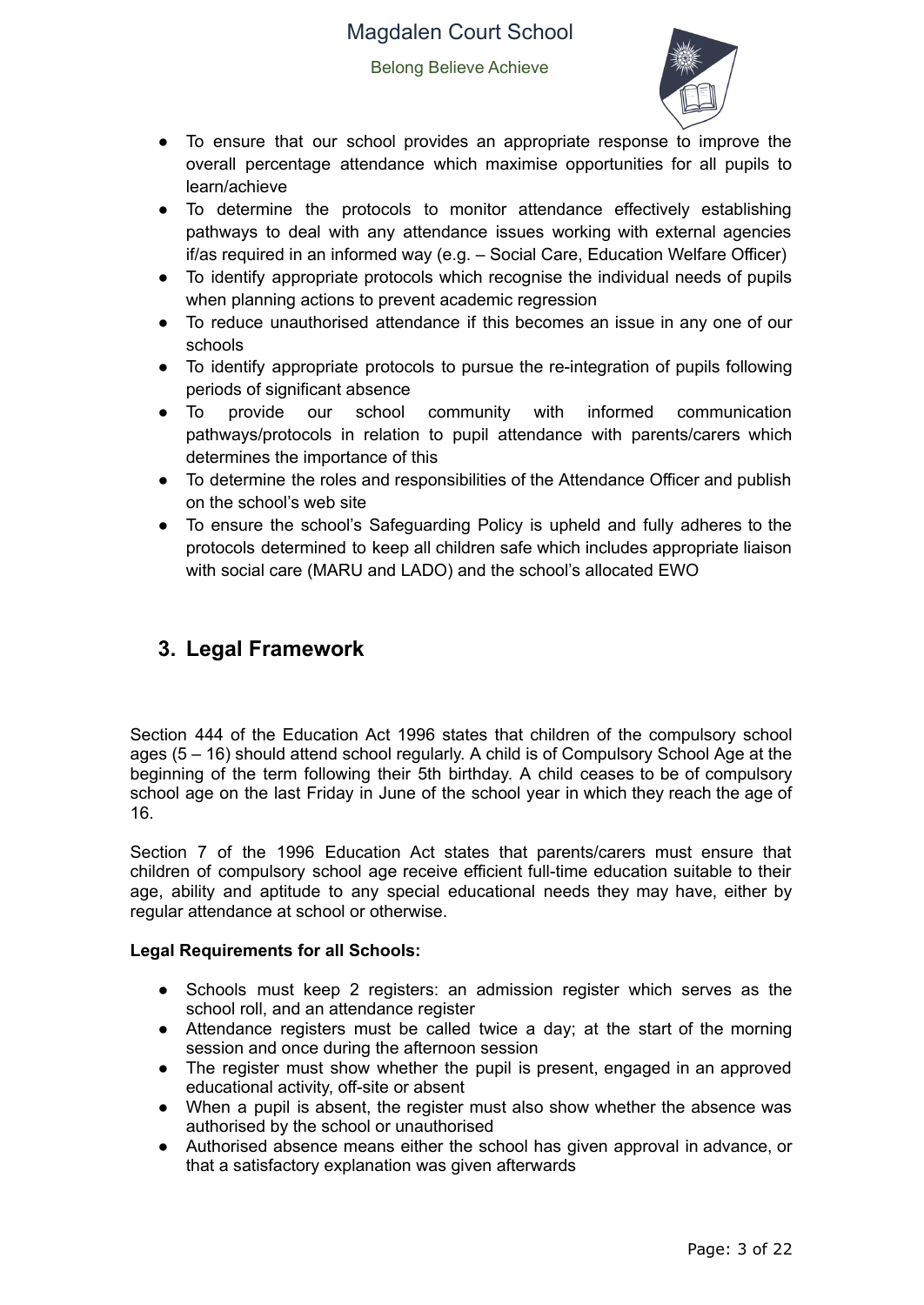Belong Believe Achieve



- To ensure that our school provides an appropriate response to improve the overall percentage attendance which maximise opportunities for all pupils to learn/achieve
- To determine the protocols to monitor attendance effectively establishing pathways to deal with any attendance issues working with external agencies if/as required in an informed way (e.g. – Social Care, Education Welfare Officer)
- To identify appropriate protocols which recognise the individual needs of pupils when planning actions to prevent academic regression
- To reduce unauthorised attendance if this becomes an issue in any one of our schools
- To identify appropriate protocols to pursue the re-integration of pupils following periods of significant absence
- To provide our school community with informed communication pathways/protocols in relation to pupil attendance with parents/carers which determines the importance of this
- To determine the roles and responsibilities of the Attendance Officer and publish on the school's web site
- To ensure the school's Safeguarding Policy is upheld and fully adheres to the protocols determined to keep all children safe which includes appropriate liaison with social care (MARU and LADO) and the school's allocated EWO

# **3. Legal Framework**

Section 444 of the Education Act 1996 states that children of the compulsory school ages (5 – 16) should attend school regularly. A child is of Compulsory School Age at the beginning of the term following their 5th birthday. A child ceases to be of compulsory school age on the last Friday in June of the school year in which they reach the age of 16.

Section 7 of the 1996 Education Act states that parents/carers must ensure that children of compulsory school age receive efficient full-time education suitable to their age, ability and aptitude to any special educational needs they may have, either by regular attendance at school or otherwise.

#### **Legal Requirements for all Schools:**

- Schools must keep 2 registers: an admission register which serves as the school roll, and an attendance register
- Attendance registers must be called twice a day; at the start of the morning session and once during the afternoon session
- The register must show whether the pupil is present, engaged in an approved educational activity, off-site or absent
- When a pupil is absent, the register must also show whether the absence was authorised by the school or unauthorised
- Authorised absence means either the school has given approval in advance, or that a satisfactory explanation was given afterwards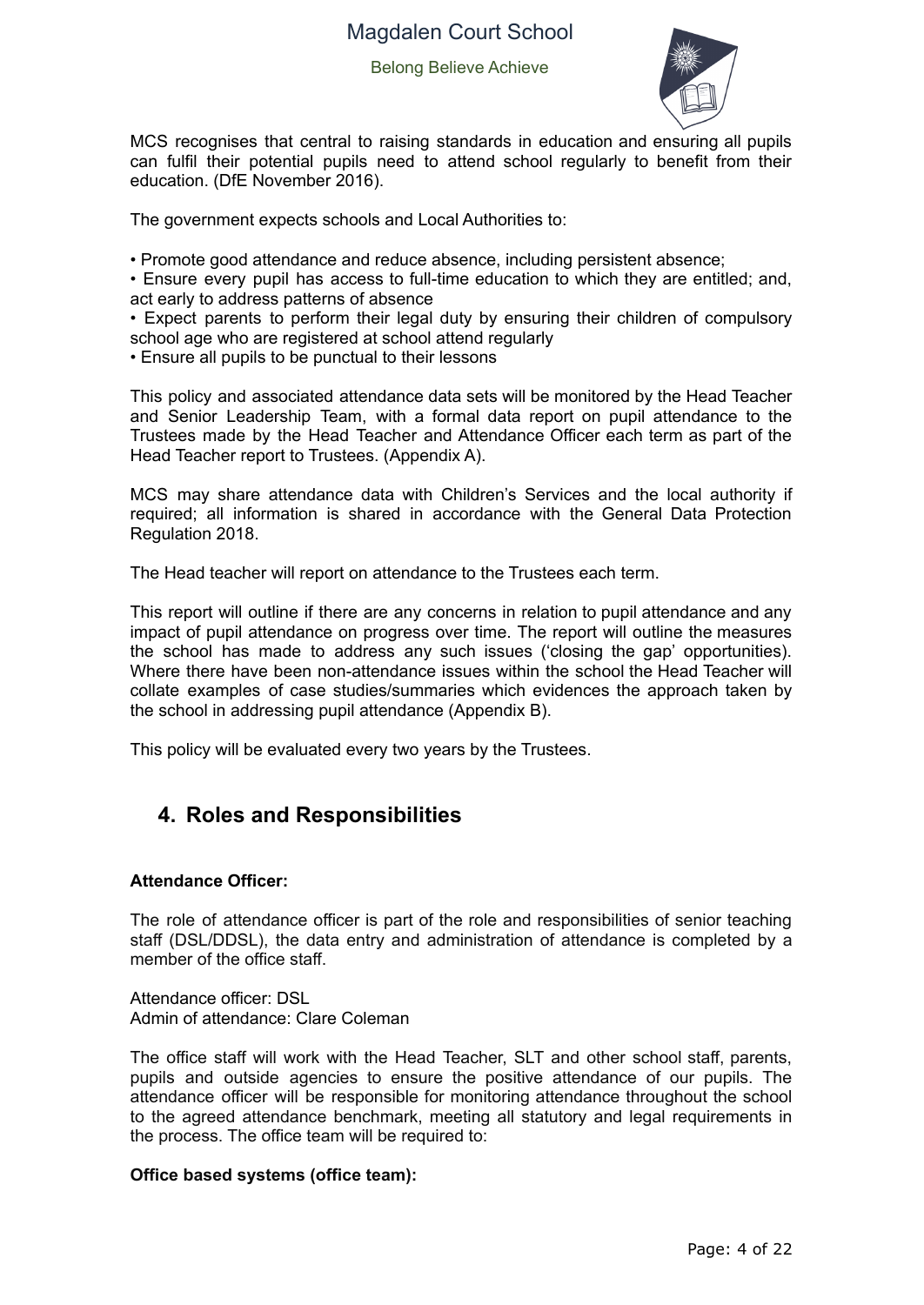Belong Believe Achieve



MCS recognises that central to raising standards in education and ensuring all pupils can fulfil their potential pupils need to attend school regularly to benefit from their education. (DfE November 2016).

The government expects schools and Local Authorities to:

• Promote good attendance and reduce absence, including persistent absence;

• Ensure every pupil has access to full-time education to which they are entitled; and, act early to address patterns of absence

• Expect parents to perform their legal duty by ensuring their children of compulsory school age who are registered at school attend regularly

*•* Ensure all pupils to be punctual to their lessons

This policy and associated attendance data sets will be monitored by the Head Teacher and Senior Leadership Team, with a formal data report on pupil attendance to the Trustees made by the Head Teacher and Attendance Officer each term as part of the Head Teacher report to Trustees. (Appendix A).

MCS may share attendance data with Children's Services and the local authority if required; all information is shared in accordance with the General Data Protection Regulation 2018.

The Head teacher will report on attendance to the Trustees each term.

This report will outline if there are any concerns in relation to pupil attendance and any impact of pupil attendance on progress over time. The report will outline the measures the school has made to address any such issues ('closing the gap' opportunities). Where there have been non-attendance issues within the school the Head Teacher will collate examples of case studies/summaries which evidences the approach taken by the school in addressing pupil attendance (Appendix B).

This policy will be evaluated every two years by the Trustees.

## **4. Roles and Responsibilities**

#### **Attendance Officer:**

The role of attendance officer is part of the role and responsibilities of senior teaching staff (DSL/DDSL), the data entry and administration of attendance is completed by a member of the office staff.

Attendance officer: DSL Admin of attendance: Clare Coleman

The office staff will work with the Head Teacher, SLT and other school staff, parents, pupils and outside agencies to ensure the positive attendance of our pupils. The attendance officer will be responsible for monitoring attendance throughout the school to the agreed attendance benchmark, meeting all statutory and legal requirements in the process. The office team will be required to:

#### **Office based systems (office team):**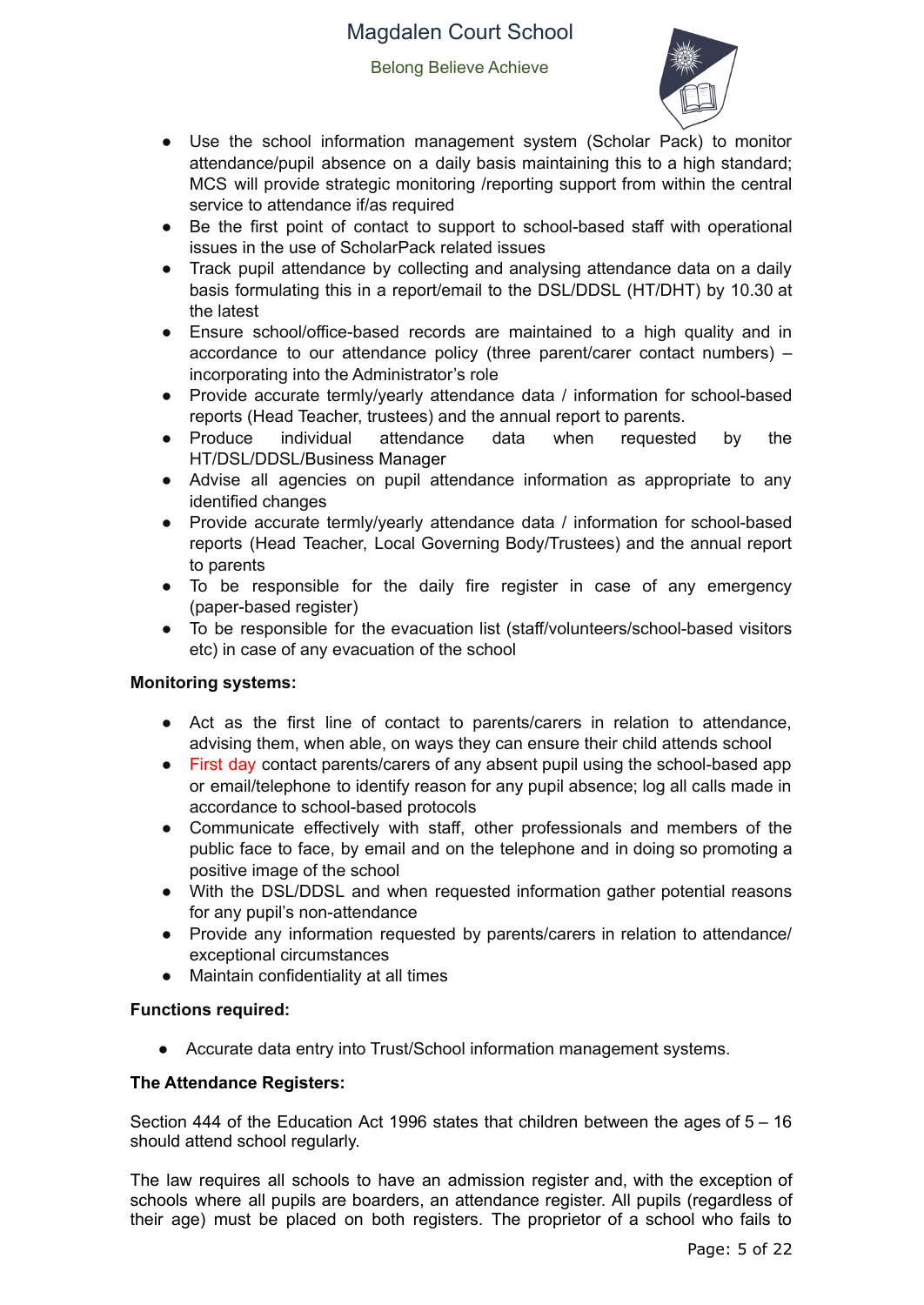Belong Believe Achieve



- Use the school information management system (Scholar Pack) to monitor attendance/pupil absence on a daily basis maintaining this to a high standard; MCS will provide strategic monitoring /reporting support from within the central service to attendance if/as required
- Be the first point of contact to support to school-based staff with operational issues in the use of ScholarPack related issues
- Track pupil attendance by collecting and analysing attendance data on a daily basis formulating this in a report/email to the DSL/DDSL (HT/DHT) by 10.30 at the latest
- Ensure school/office-based records are maintained to a high quality and in accordance to our attendance policy (three parent/carer contact numbers) – incorporating into the Administrator's role
- Provide accurate termly/yearly attendance data / information for school-based reports (Head Teacher, trustees) and the annual report to parents.
- Produce individual attendance data when requested by the HT/DSL/DDSL/Business Manager
- Advise all agencies on pupil attendance information as appropriate to any identified changes
- Provide accurate termly/yearly attendance data / information for school-based reports (Head Teacher, Local Governing Body/Trustees) and the annual report to parents
- To be responsible for the daily fire register in case of any emergency (paper-based register)
- To be responsible for the evacuation list (staff/volunteers/school-based visitors etc) in case of any evacuation of the school

#### **Monitoring systems:**

- Act as the first line of contact to parents/carers in relation to attendance, advising them, when able, on ways they can ensure their child attends school
- First day contact parents/carers of any absent pupil using the school-based app or email/telephone to identify reason for any pupil absence; log all calls made in accordance to school-based protocols
- Communicate effectively with staff, other professionals and members of the public face to face, by email and on the telephone and in doing so promoting a positive image of the school
- With the DSL/DDSL and when requested information gather potential reasons for any pupil's non-attendance
- Provide any information requested by parents/carers in relation to attendance/ exceptional circumstances
- Maintain confidentiality at all times

#### **Functions required:**

● Accurate data entry into Trust/School information management systems.

#### **The Attendance Registers:**

Section 444 of the Education Act 1996 states that children between the ages of 5 – 16 should attend school regularly.

The law requires all schools to have an admission register and, with the exception of schools where all pupils are boarders, an attendance register. All pupils (regardless of their age) must be placed on both registers. The proprietor of a school who fails to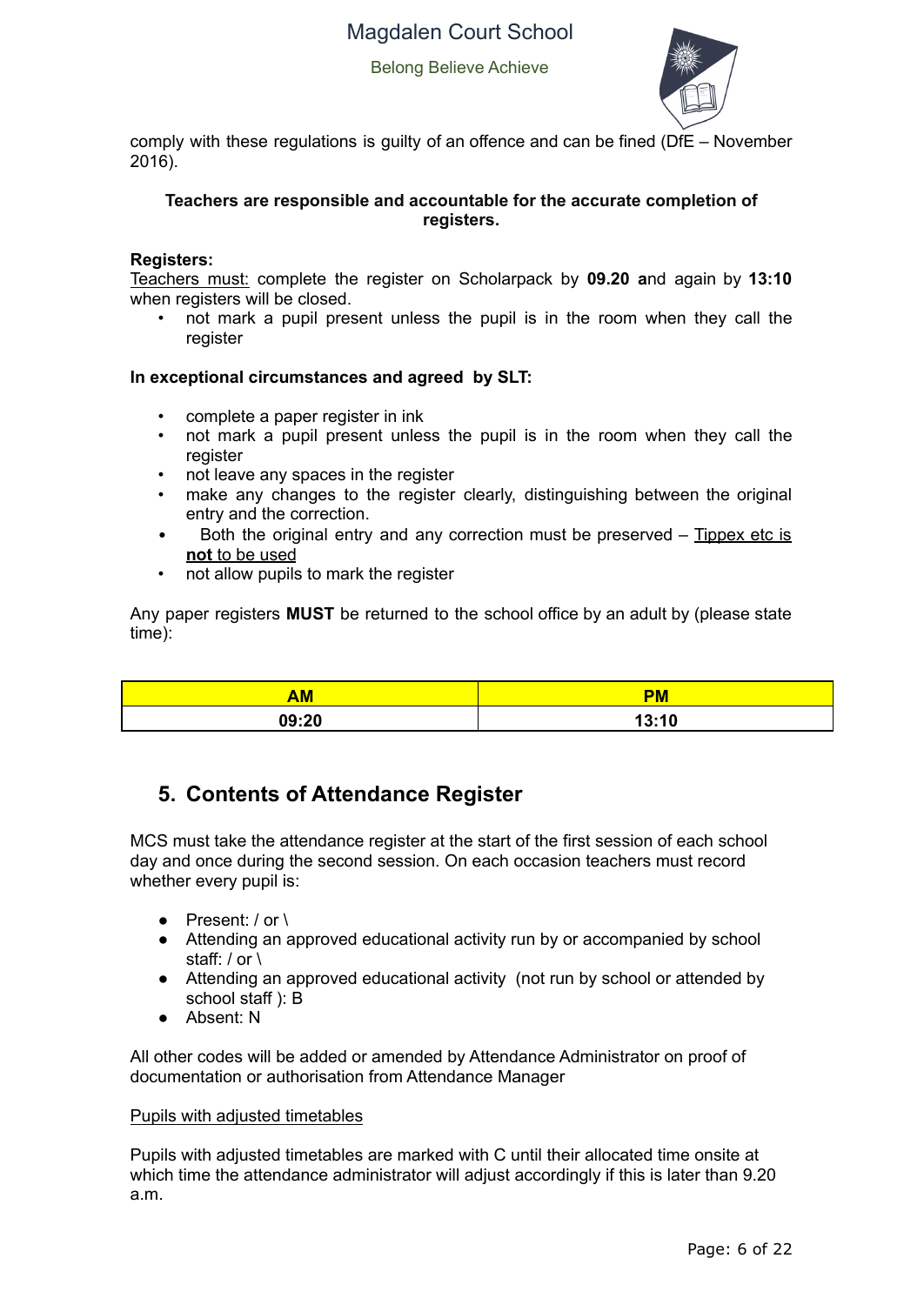Belong Believe Achieve



comply with these regulations is guilty of an offence and can be fined (DfE – November 2016).

#### **Teachers are responsible and accountable for the accurate completion of registers.**

#### **Registers:**

Teachers must: complete the register on Scholarpack by **09.20 a**nd again by **13:10** when registers will be closed.

• not mark a pupil present unless the pupil is in the room when they call the register

#### **In exceptional circumstances and agreed by SLT:**

- complete a paper register in ink
- not mark a pupil present unless the pupil is in the room when they call the register
- not leave any spaces in the register
- make any changes to the register clearly, distinguishing between the original entry and the correction.
- Both the original entry and any correction must be preserved Tippex etc is **not** to be used
- not allow pupils to mark the register

Any paper registers **MUST** be returned to the school office by an adult by (please state time):

| <b>AM</b> | <b>DA</b><br><u>sin.</u> |
|-----------|--------------------------|
| 09:20     | 13:10                    |

# **5. Contents of Attendance Register**

MCS must take the attendance register at the start of the first session of each school day and once during the second session. On each occasion teachers must record whether every pupil is:

- Present: / or \
- Attending an approved educational activity run by or accompanied by school staff: / or \
- Attending an approved educational activity (not run by school or attended by school staff ): B
- Absent: N

All other codes will be added or amended by Attendance Administrator on proof of documentation or authorisation from Attendance Manager

#### Pupils with adjusted timetables

Pupils with adjusted timetables are marked with C until their allocated time onsite at which time the attendance administrator will adjust accordingly if this is later than 9.20 a.m.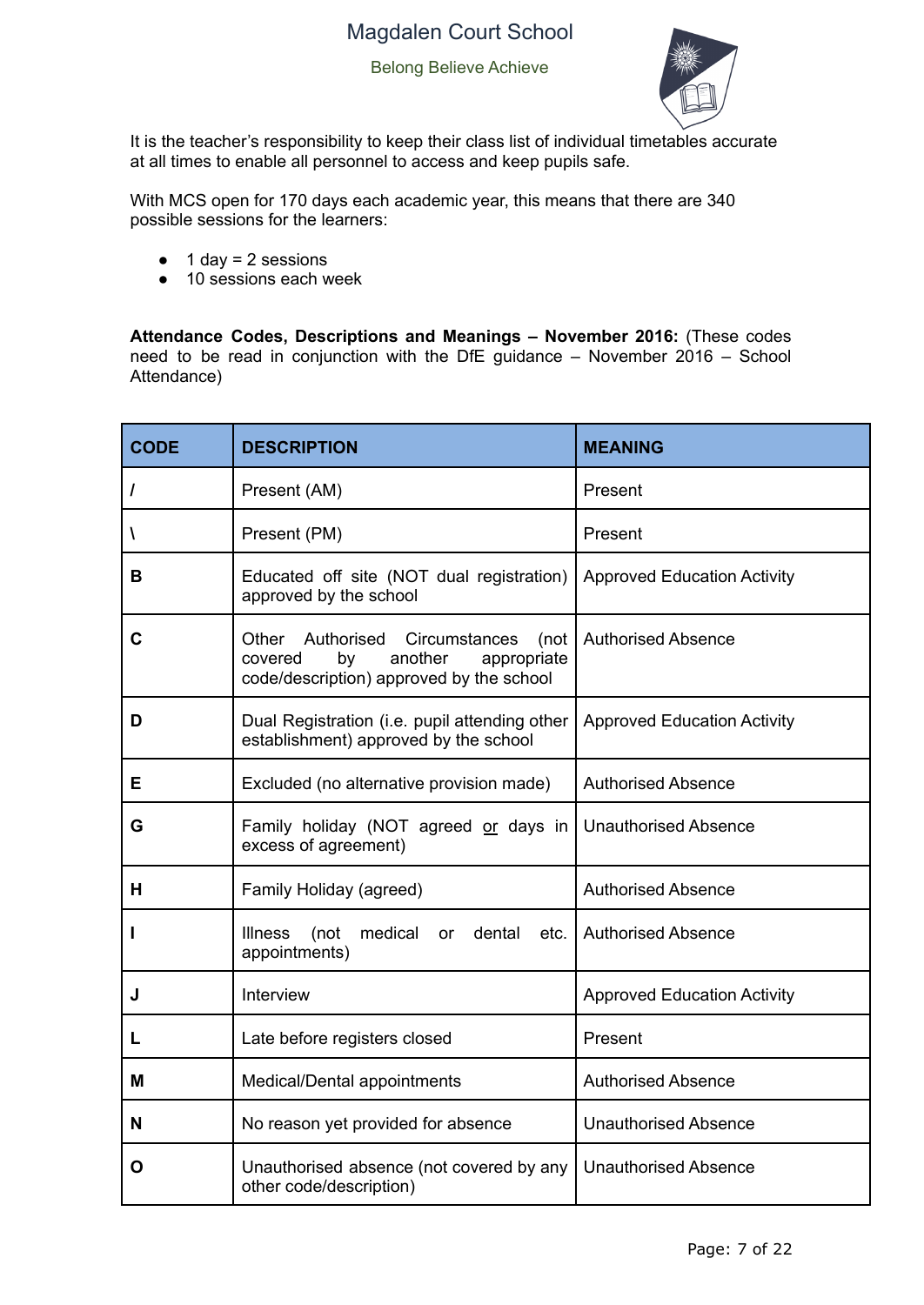Belong Believe Achieve



It is the teacher's responsibility to keep their class list of individual timetables accurate at all times to enable all personnel to access and keep pupils safe.

With MCS open for 170 days each academic year, this means that there are 340 possible sessions for the learners:

- $\bullet$  1 day = 2 sessions
- 10 sessions each week

**Attendance Codes, Descriptions and Meanings – November 2016:** (These codes need to be read in conjunction with the DfE guidance – November  $2016$  – School Attendance)

| <b>CODE</b> | <b>DESCRIPTION</b>                                                                                                               | <b>MEANING</b>                     |  |  |
|-------------|----------------------------------------------------------------------------------------------------------------------------------|------------------------------------|--|--|
| 7           | Present (AM)                                                                                                                     | Present                            |  |  |
| A           | Present (PM)                                                                                                                     | Present                            |  |  |
| в           | Educated off site (NOT dual registration)<br>approved by the school                                                              | <b>Approved Education Activity</b> |  |  |
| C           | Other<br>Authorised Circumstances<br>(not<br>another<br>covered<br>by<br>appropriate<br>code/description) approved by the school | <b>Authorised Absence</b>          |  |  |
| D           | Dual Registration (i.e. pupil attending other<br>establishment) approved by the school                                           | <b>Approved Education Activity</b> |  |  |
| Е           | Excluded (no alternative provision made)                                                                                         | <b>Authorised Absence</b>          |  |  |
| G           | Family holiday (NOT agreed or days in<br>excess of agreement)                                                                    | <b>Unauthorised Absence</b>        |  |  |
| н           | Family Holiday (agreed)                                                                                                          | <b>Authorised Absence</b>          |  |  |
| ı           | medical<br><b>Illness</b><br>(not<br>dental<br>or<br>appointments)                                                               | etc.   Authorised Absence          |  |  |
| J           | Interview                                                                                                                        | <b>Approved Education Activity</b> |  |  |
| L           | Late before registers closed                                                                                                     | Present                            |  |  |
| м           | Medical/Dental appointments                                                                                                      | <b>Authorised Absence</b>          |  |  |
| N           | No reason yet provided for absence                                                                                               | <b>Unauthorised Absence</b>        |  |  |
| O           | Unauthorised absence (not covered by any<br>other code/description)                                                              | <b>Unauthorised Absence</b>        |  |  |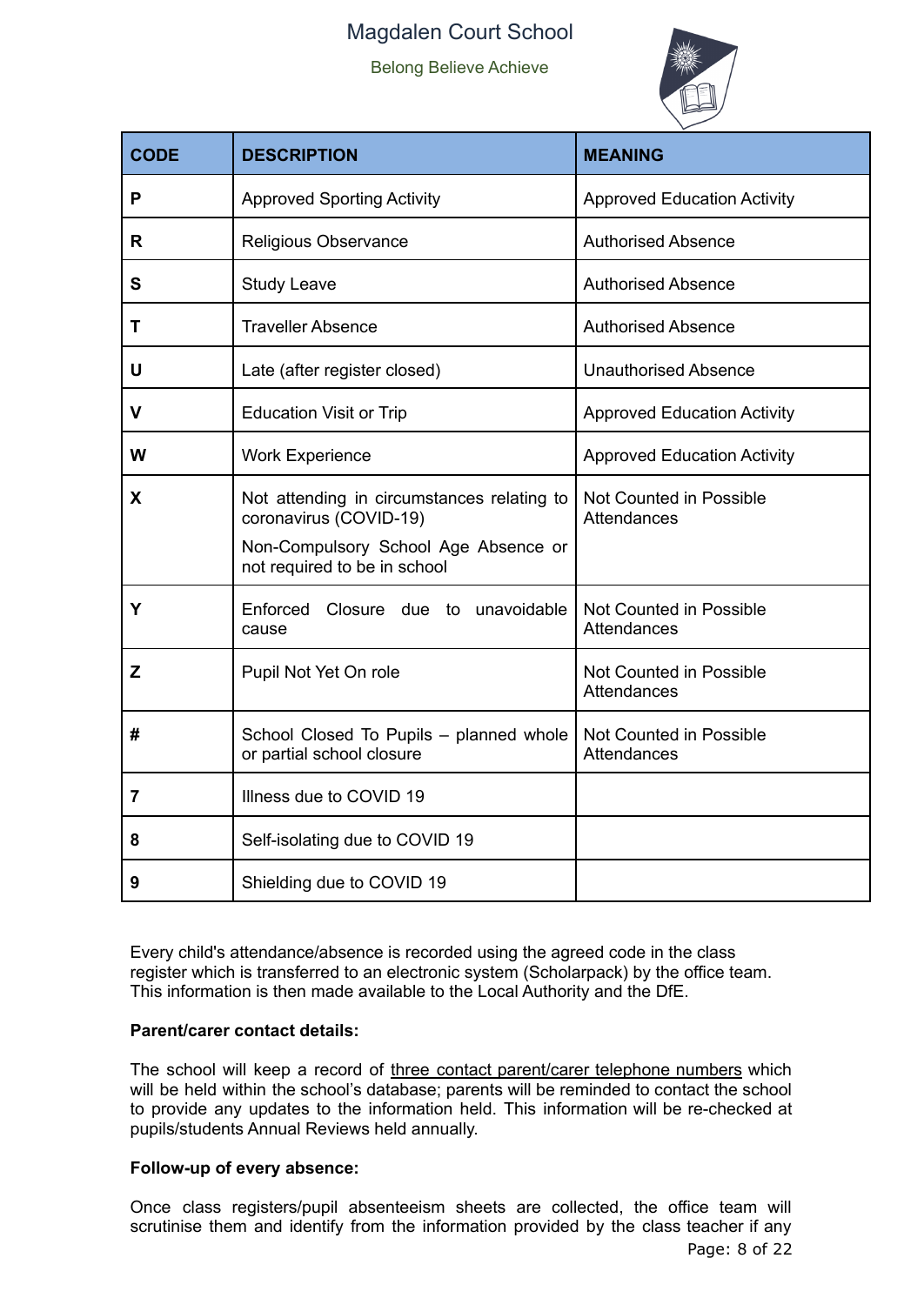Belong Believe Achieve



| <b>CODE</b>    | <b>DESCRIPTION</b>                                                                                                                           | <b>MEANING</b>                         |
|----------------|----------------------------------------------------------------------------------------------------------------------------------------------|----------------------------------------|
| P              | <b>Approved Sporting Activity</b>                                                                                                            | <b>Approved Education Activity</b>     |
| R              | Religious Observance                                                                                                                         | <b>Authorised Absence</b>              |
| S              | <b>Study Leave</b>                                                                                                                           | <b>Authorised Absence</b>              |
| т              | <b>Traveller Absence</b>                                                                                                                     | <b>Authorised Absence</b>              |
| U              | Late (after register closed)                                                                                                                 | <b>Unauthorised Absence</b>            |
| v              | <b>Education Visit or Trip</b>                                                                                                               | <b>Approved Education Activity</b>     |
| W              | <b>Work Experience</b>                                                                                                                       | <b>Approved Education Activity</b>     |
| X              | Not attending in circumstances relating to<br>coronavirus (COVID-19)<br>Non-Compulsory School Age Absence or<br>not required to be in school | Not Counted in Possible<br>Attendances |
| Y              | Enforced Closure due to unavoidable<br>cause                                                                                                 | Not Counted in Possible<br>Attendances |
| Z              | Pupil Not Yet On role                                                                                                                        | Not Counted in Possible<br>Attendances |
| #              | School Closed To Pupils - planned whole<br>or partial school closure                                                                         | Not Counted in Possible<br>Attendances |
| $\overline{7}$ | Illness due to COVID 19                                                                                                                      |                                        |
| 8              | Self-isolating due to COVID 19                                                                                                               |                                        |
| 9              | Shielding due to COVID 19                                                                                                                    |                                        |

Every child's attendance/absence is recorded using the agreed code in the class register which is transferred to an electronic system (Scholarpack) by the office team. This information is then made available to the Local Authority and the DfE.

#### **Parent/carer contact details:**

The school will keep a record of three contact parent/carer telephone numbers which will be held within the school's database; parents will be reminded to contact the school to provide any updates to the information held. This information will be re-checked at pupils/students Annual Reviews held annually.

#### **Follow-up of every absence:**

Once class registers/pupil absenteeism sheets are collected, the office team will scrutinise them and identify from the information provided by the class teacher if any Page: 8 of 22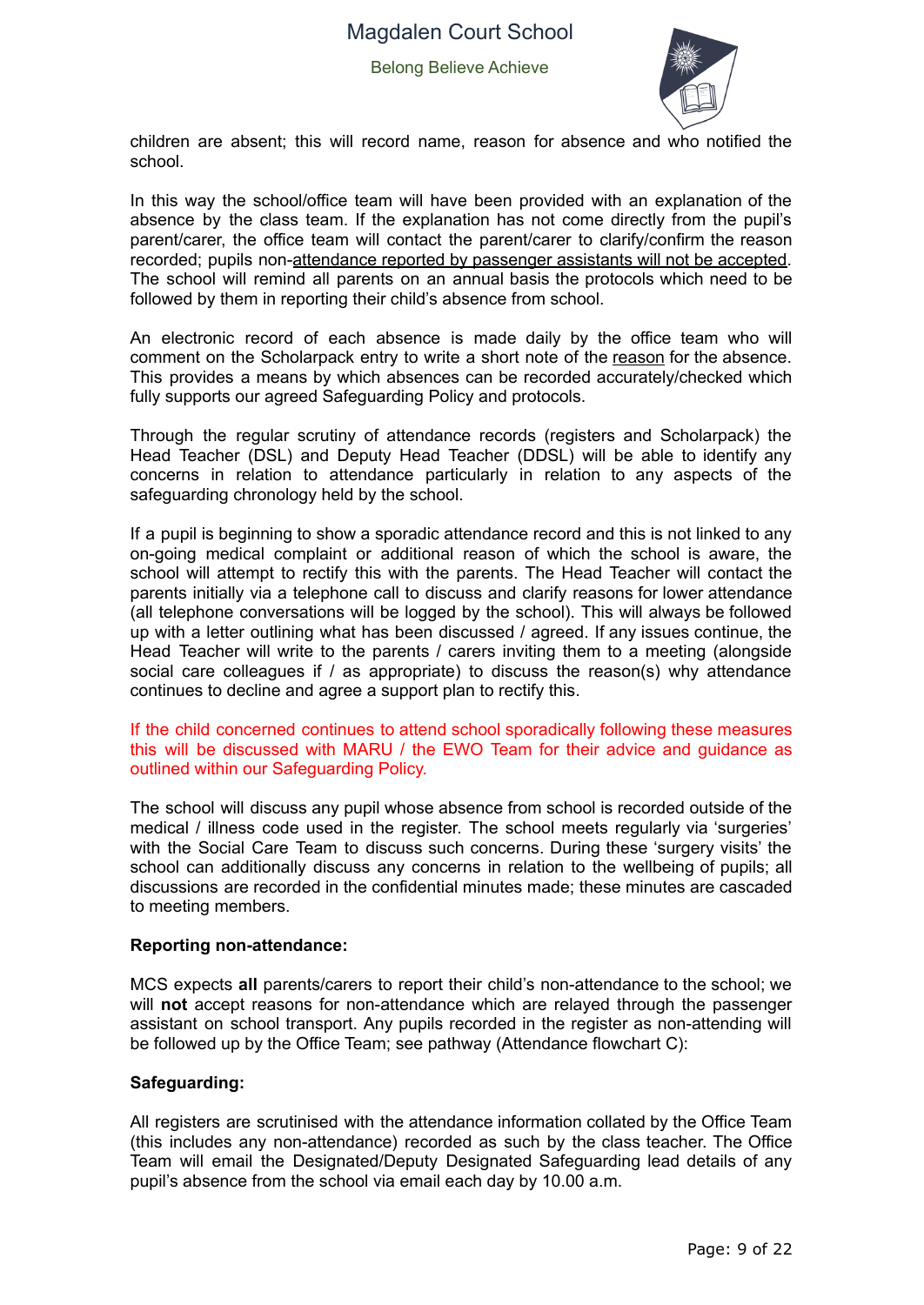

children are absent; this will record name, reason for absence and who notified the school.

In this way the school/office team will have been provided with an explanation of the absence by the class team. If the explanation has not come directly from the pupil's parent/carer, the office team will contact the parent/carer to clarify/confirm the reason recorded; pupils non-attendance reported by passenger assistants will not be accepted. The school will remind all parents on an annual basis the protocols which need to be followed by them in reporting their child's absence from school.

An electronic record of each absence is made daily by the office team who will comment on the Scholarpack entry to write a short note of the reason for the absence. This provides a means by which absences can be recorded accurately/checked which fully supports our agreed Safeguarding Policy and protocols.

Through the regular scrutiny of attendance records (registers and Scholarpack) the Head Teacher (DSL) and Deputy Head Teacher (DDSL) will be able to identify any concerns in relation to attendance particularly in relation to any aspects of the safeguarding chronology held by the school.

If a pupil is beginning to show a sporadic attendance record and this is not linked to any on-going medical complaint or additional reason of which the school is aware, the school will attempt to rectify this with the parents. The Head Teacher will contact the parents initially via a telephone call to discuss and clarify reasons for lower attendance (all telephone conversations will be logged by the school). This will always be followed up with a letter outlining what has been discussed / agreed. If any issues continue, the Head Teacher will write to the parents / carers inviting them to a meeting (alongside social care colleagues if / as appropriate) to discuss the reason(s) why attendance continues to decline and agree a support plan to rectify this.

If the child concerned continues to attend school sporadically following these measures this will be discussed with MARU / the EWO Team for their advice and guidance as outlined within our Safeguarding Policy.

The school will discuss any pupil whose absence from school is recorded outside of the medical / illness code used in the register. The school meets regularly via 'surgeries' with the Social Care Team to discuss such concerns. During these 'surgery visits' the school can additionally discuss any concerns in relation to the wellbeing of pupils; all discussions are recorded in the confidential minutes made; these minutes are cascaded to meeting members.

#### **Reporting non-attendance:**

MCS expects **all** parents/carers to report their child's non-attendance to the school; we will **not** accept reasons for non-attendance which are relayed through the passenger assistant on school transport. Any pupils recorded in the register as non-attending will be followed up by the Office Team; see pathway (Attendance flowchart C):

#### **Safeguarding:**

All registers are scrutinised with the attendance information collated by the Office Team (this includes any non-attendance) recorded as such by the class teacher. The Office Team will email the Designated/Deputy Designated Safeguarding lead details of any pupil's absence from the school via email each day by 10.00 a.m.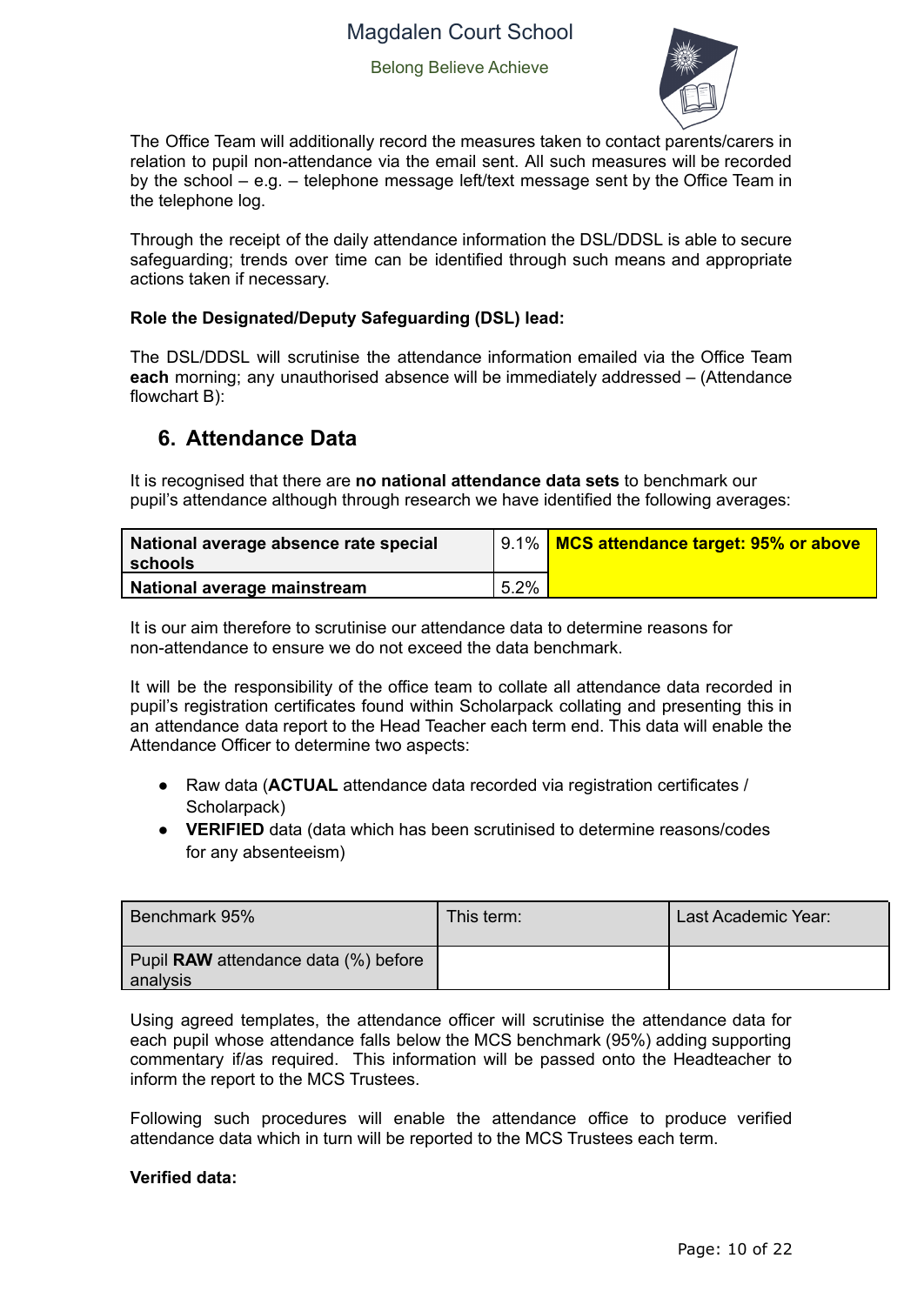

The Office Team will additionally record the measures taken to contact parents/carers in relation to pupil non-attendance via the email sent. All such measures will be recorded by the school – e.g. – telephone message left/text message sent by the Office Team in the telephone log.

Through the receipt of the daily attendance information the DSL/DDSL is able to secure safeguarding; trends over time can be identified through such means and appropriate actions taken if necessary.

#### **Role the Designated/Deputy Safeguarding (DSL) lead:**

The DSL/DDSL will scrutinise the attendance information emailed via the Office Team **each** morning; any unauthorised absence will be immediately addressed – (Attendance flowchart B):

### **6. Attendance Data**

It is recognised that there are **no national attendance data sets** to benchmark our pupil's attendance although through research we have identified the following averages:

| National average absence rate special<br>l schools |         | 9.1%   MCS attendance target: 95% or above |
|----------------------------------------------------|---------|--------------------------------------------|
| <b>National average mainstream</b>                 | $5.2\%$ |                                            |

It is our aim therefore to scrutinise our attendance data to determine reasons for non-attendance to ensure we do not exceed the data benchmark.

It will be the responsibility of the office team to collate all attendance data recorded in pupil's registration certificates found within Scholarpack collating and presenting this in an attendance data report to the Head Teacher each term end. This data will enable the Attendance Officer to determine two aspects:

- Raw data (**ACTUAL** attendance data recorded via registration certificates / Scholarpack)
- **VERIFIED** data (data which has been scrutinised to determine reasons/codes for any absenteeism)

| Benchmark 95%                                    | This term: | Last Academic Year: |
|--------------------------------------------------|------------|---------------------|
| Pupil RAW attendance data (%) before<br>analysis |            |                     |

Using agreed templates, the attendance officer will scrutinise the attendance data for each pupil whose attendance falls below the MCS benchmark (95%) adding supporting commentary if/as required. This information will be passed onto the Headteacher to inform the report to the MCS Trustees.

Following such procedures will enable the attendance office to produce verified attendance data which in turn will be reported to the MCS Trustees each term.

#### **Verified data:**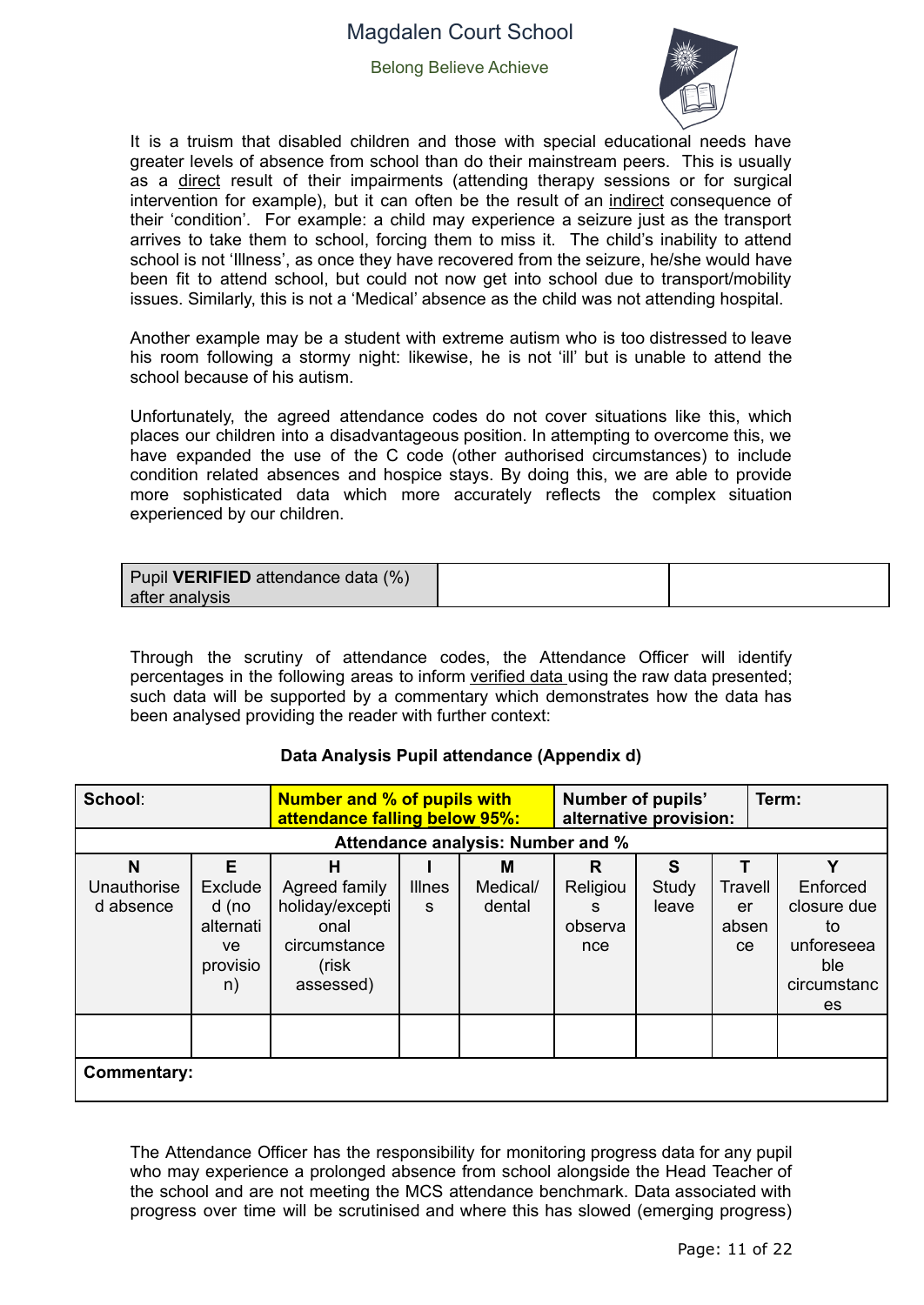Belong Believe Achieve



It is a truism that disabled children and those with special educational needs have greater levels of absence from school than do their mainstream peers. This is usually as a direct result of their impairments (attending therapy sessions or for surgical intervention for example), but it can often be the result of an indirect consequence of their 'condition'. For example: a child may experience a seizure just as the transport arrives to take them to school, forcing them to miss it. The child's inability to attend school is not 'Illness', as once they have recovered from the seizure, he/she would have been fit to attend school, but could not now get into school due to transport/mobility issues. Similarly, this is not a 'Medical' absence as the child was not attending hospital.

Another example may be a student with extreme autism who is too distressed to leave his room following a stormy night: likewise, he is not 'ill' but is unable to attend the school because of his autism.

Unfortunately, the agreed attendance codes do not cover situations like this, which places our children into a disadvantageous position. In attempting to overcome this, we have expanded the use of the C code (other authorised circumstances) to include condition related absences and hospice stays. By doing this, we are able to provide more sophisticated data which more accurately reflects the complex situation experienced by our children.

| Pupil VERIFIED attendance data (%) |  |
|------------------------------------|--|
| l after analysis                   |  |

Through the scrutiny of attendance codes, the Attendance Officer will identify percentages in the following areas to inform verified data using the raw data presented; such data will be supported by a commentary which demonstrates how the data has been analysed providing the reader with further context:

#### **Data Analysis Pupil attendance (Appendix d)**

| School:                       |                                                            | <b>Number and % of pupils with</b><br>attendance falling below 95%:                 |                    |                                   | Number of pupils'<br>alternative provision: |                     |                                         | Term:                                                                        |  |
|-------------------------------|------------------------------------------------------------|-------------------------------------------------------------------------------------|--------------------|-----------------------------------|---------------------------------------------|---------------------|-----------------------------------------|------------------------------------------------------------------------------|--|
|                               |                                                            |                                                                                     |                    | Attendance analysis: Number and % |                                             |                     |                                         |                                                                              |  |
| N<br>Unauthorise<br>d absence | Е<br>Exclude<br>d (no<br>alternati<br>ve<br>provisio<br>n) | н<br>Agreed family<br>holiday/excepti<br>onal<br>circumstance<br>(risk<br>assessed) | <b>Illnes</b><br>S | м<br>Medical/<br>dental           | R<br>Religiou<br>S.<br>observa<br>nce       | S<br>Study<br>leave | Travell<br>er<br>absen<br><sub>ce</sub> | v<br>Enforced<br>closure due<br>to<br>unforeseea<br>ble<br>circumstanc<br>es |  |
|                               | <b>Commentary:</b>                                         |                                                                                     |                    |                                   |                                             |                     |                                         |                                                                              |  |

The Attendance Officer has the responsibility for monitoring progress data for any pupil who may experience a prolonged absence from school alongside the Head Teacher of the school and are not meeting the MCS attendance benchmark. Data associated with progress over time will be scrutinised and where this has slowed (emerging progress)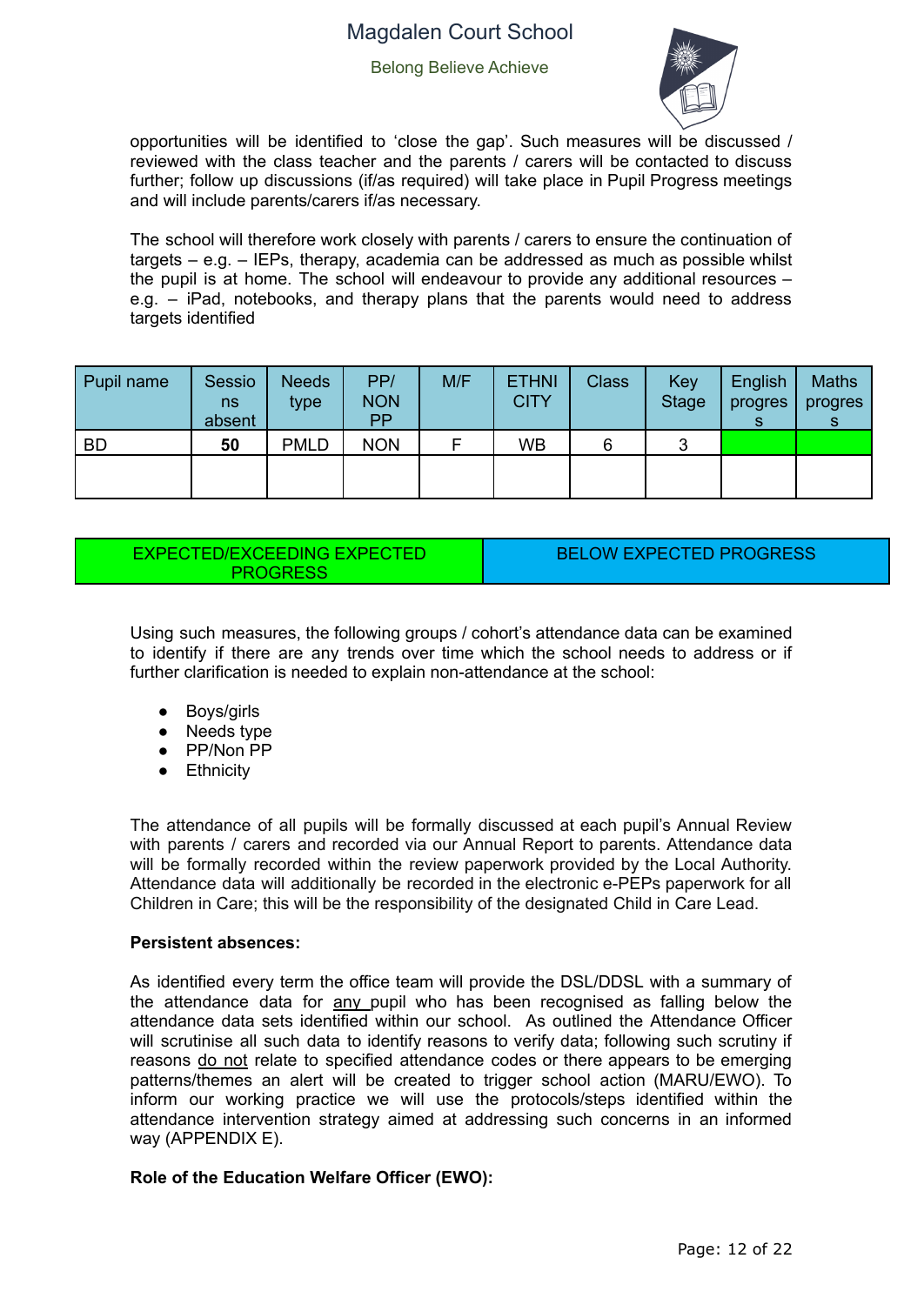

opportunities will be identified to 'close the gap'. Such measures will be discussed / reviewed with the class teacher and the parents / carers will be contacted to discuss further; follow up discussions (if/as required) will take place in Pupil Progress meetings and will include parents/carers if/as necessary.

The school will therefore work closely with parents / carers to ensure the continuation of  $t$ argets – e.g. – IEPs, therapy, academia can be addressed as much as possible whilst the pupil is at home. The school will endeavour to provide any additional resources – e.g. – iPad, notebooks, and therapy plans that the parents would need to address targets identified

| Pupil name | Sessio<br>ns<br>absent | <b>Needs</b><br>type | PP/<br><b>NON</b><br><b>PP</b> | M/F | <b>ETHNI</b><br><b>CITY</b> | <b>Class</b> | Key<br><b>Stage</b> | English<br>progres | <b>Maths</b><br>progres |
|------------|------------------------|----------------------|--------------------------------|-----|-----------------------------|--------------|---------------------|--------------------|-------------------------|
| <b>BD</b>  | 50                     | <b>PMLD</b>          | <b>NON</b>                     |     | WB                          | 6            | ◠                   |                    |                         |
|            |                        |                      |                                |     |                             |              |                     |                    |                         |

#### EXPECTED/EXCEEDING EXPECTED PROGRESS

BELOW EXPECTED PROGRESS

Using such measures, the following groups / cohort's attendance data can be examined to identify if there are any trends over time which the school needs to address or if further clarification is needed to explain non-attendance at the school:

- Boys/girls
- Needs type
- PP/Non PP
- Ethnicity

The attendance of all pupils will be formally discussed at each pupil's Annual Review with parents / carers and recorded via our Annual Report to parents. Attendance data will be formally recorded within the review paperwork provided by the Local Authority. Attendance data will additionally be recorded in the electronic e-PEPs paperwork for all Children in Care; this will be the responsibility of the designated Child in Care Lead.

#### **Persistent absences:**

As identified every term the office team will provide the DSL/DDSL with a summary of the attendance data for any pupil who has been recognised as falling below the attendance data sets identified within our school. As outlined the Attendance Officer will scrutinise all such data to identify reasons to verify data; following such scrutiny if reasons do not relate to specified attendance codes or there appears to be emerging patterns/themes an alert will be created to trigger school action (MARU/EWO). To inform our working practice we will use the protocols/steps identified within the attendance intervention strategy aimed at addressing such concerns in an informed way (APPENDIX E).

#### **Role of the Education Welfare Officer (EWO):**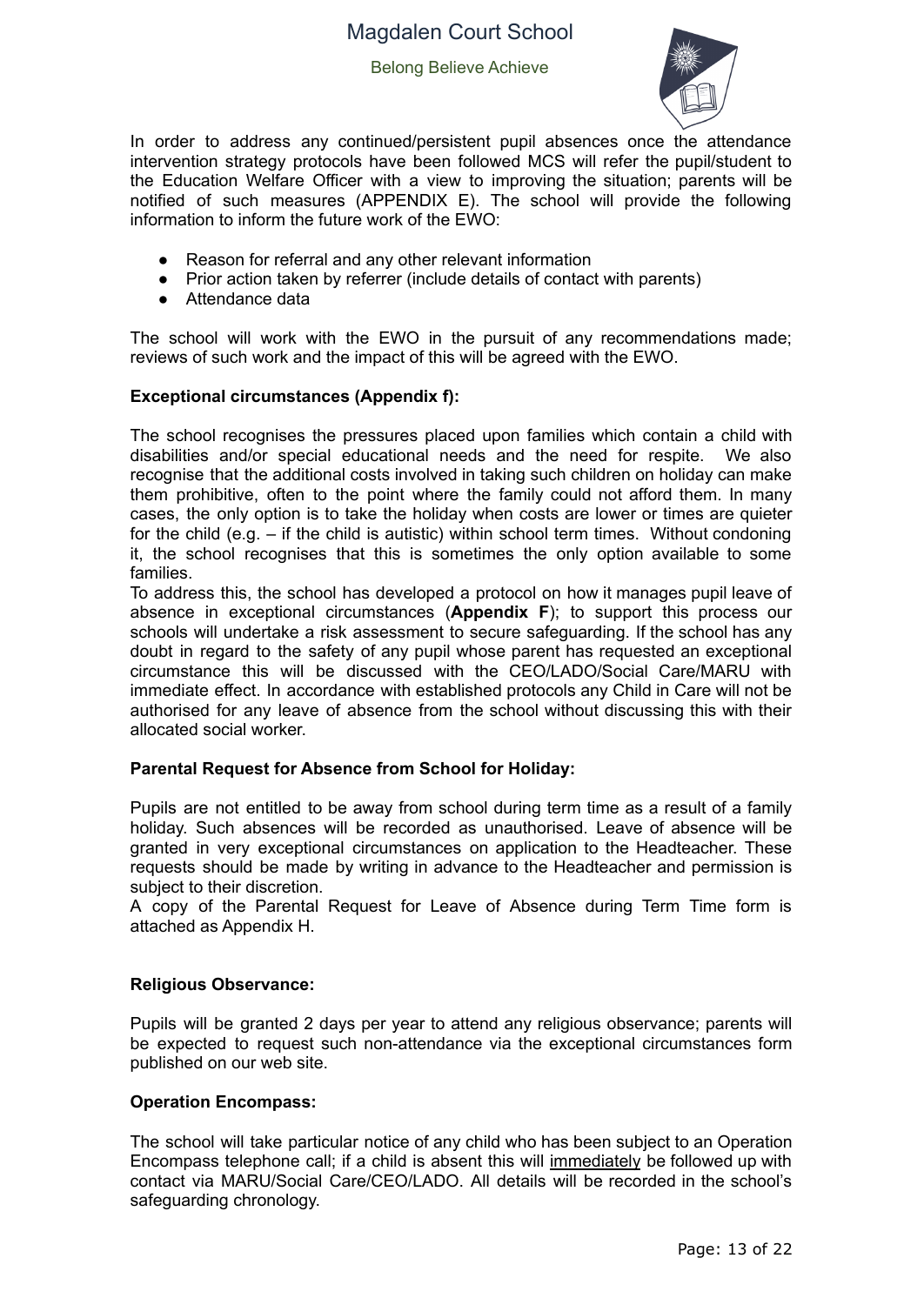

In order to address any continued/persistent pupil absences once the attendance intervention strategy protocols have been followed MCS will refer the pupil/student to the Education Welfare Officer with a view to improving the situation; parents will be notified of such measures (APPENDIX E). The school will provide the following information to inform the future work of the EWO:

- Reason for referral and any other relevant information
- Prior action taken by referrer (include details of contact with parents)
- Attendance data

The school will work with the EWO in the pursuit of any recommendations made; reviews of such work and the impact of this will be agreed with the EWO.

#### **Exceptional circumstances (Appendix f):**

The school recognises the pressures placed upon families which contain a child with disabilities and/or special educational needs and the need for respite. We also recognise that the additional costs involved in taking such children on holiday can make them prohibitive, often to the point where the family could not afford them. In many cases, the only option is to take the holiday when costs are lower or times are quieter for the child (e.g. – if the child is autistic) within school term times. Without condoning it, the school recognises that this is sometimes the only option available to some families.

To address this, the school has developed a protocol on how it manages pupil leave of absence in exceptional circumstances (**Appendix F**); to support this process our schools will undertake a risk assessment to secure safeguarding. If the school has any doubt in regard to the safety of any pupil whose parent has requested an exceptional circumstance this will be discussed with the CEO/LADO/Social Care/MARU with immediate effect. In accordance with established protocols any Child in Care will not be authorised for any leave of absence from the school without discussing this with their allocated social worker.

#### **Parental Request for Absence from School for Holiday:**

Pupils are not entitled to be away from school during term time as a result of a family holiday. Such absences will be recorded as unauthorised. Leave of absence will be granted in very exceptional circumstances on application to the Headteacher. These requests should be made by writing in advance to the Headteacher and permission is subject to their discretion.

A copy of the Parental Request for Leave of Absence during Term Time form is attached as Appendix H.

#### **Religious Observance:**

Pupils will be granted 2 days per year to attend any religious observance; parents will be expected to request such non-attendance via the exceptional circumstances form published on our web site.

#### **Operation Encompass:**

The school will take particular notice of any child who has been subject to an Operation Encompass telephone call; if a child is absent this will immediately be followed up with contact via MARU/Social Care/CEO/LADO. All details will be recorded in the school's safeguarding chronology.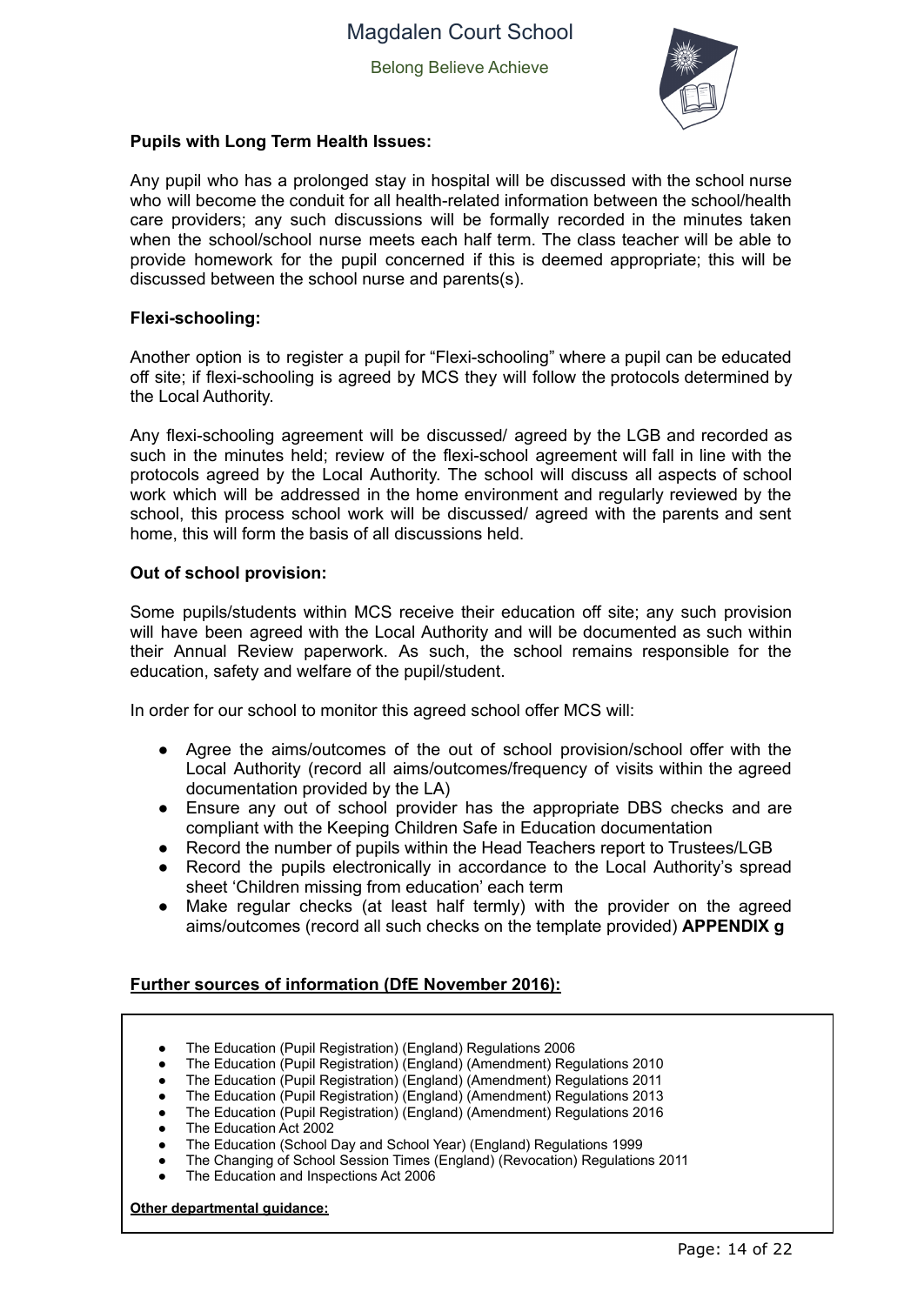

#### **Pupils with Long Term Health Issues:**

Any pupil who has a prolonged stay in hospital will be discussed with the school nurse who will become the conduit for all health-related information between the school/health care providers; any such discussions will be formally recorded in the minutes taken when the school/school nurse meets each half term. The class teacher will be able to provide homework for the pupil concerned if this is deemed appropriate; this will be discussed between the school nurse and parents(s).

#### **Flexi-schooling:**

Another option is to register a pupil for "Flexi-schooling" where a pupil can be educated off site; if flexi-schooling is agreed by MCS they will follow the protocols determined by the Local Authority.

Any flexi-schooling agreement will be discussed/ agreed by the LGB and recorded as such in the minutes held; review of the flexi-school agreement will fall in line with the protocols agreed by the Local Authority. The school will discuss all aspects of school work which will be addressed in the home environment and regularly reviewed by the school, this process school work will be discussed/ agreed with the parents and sent home, this will form the basis of all discussions held.

#### **Out of school provision:**

Some pupils/students within MCS receive their education off site; any such provision will have been agreed with the Local Authority and will be documented as such within their Annual Review paperwork. As such, the school remains responsible for the education, safety and welfare of the pupil/student.

In order for our school to monitor this agreed school offer MCS will:

- Agree the aims/outcomes of the out of school provision/school offer with the Local Authority (record all aims/outcomes/frequency of visits within the agreed documentation provided by the LA)
- Ensure any out of school provider has the appropriate DBS checks and are compliant with the Keeping Children Safe in Education documentation
- Record the number of pupils within the Head Teachers report to Trustees/LGB
- Record the pupils electronically in accordance to the Local Authority's spread sheet 'Children missing from education' each term
- Make regular checks (at least half termly) with the provider on the agreed aims/outcomes (record all such checks on the template provided) **APPENDIX g**

#### **Further sources of information (DfE November 2016):**

- The Education (Pupil Registration) (England) Regulations 2006
- The Education (Pupil Registration) (England) (Amendment) Regulations 2010
- The Education (Pupil Registration) (England) (Amendment) Regulations 2011
- The Education (Pupil Registration) (England) (Amendment) Regulations 2013
- The Education (Pupil Registration) (England) (Amendment) Regulations 2016
- The Education Act 2002
- The Education (School Day and School Year) (England) Regulations 1999
- The Changing of School Session Times (England) (Revocation) Regulations 2011
- The Education and Inspections Act 2006

**Other departmental guidance:**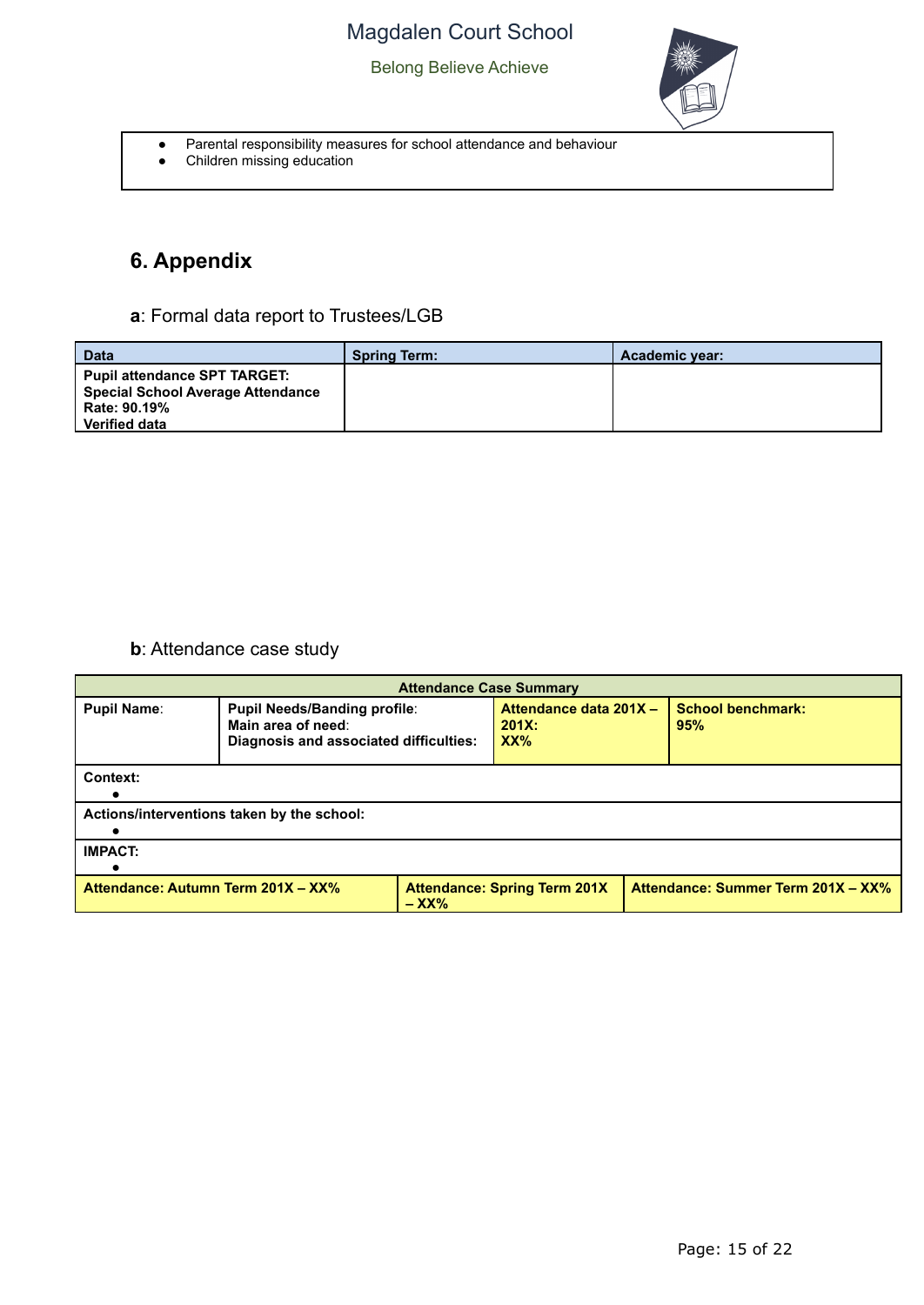

- Parental responsibility measures for school attendance and behaviour
- Children missing education

# **6. Appendix**

**a**: Formal data report to Trustees/LGB

| <b>Data</b>                                                                                                             | <b>Spring Term:</b> | Academic year: |
|-------------------------------------------------------------------------------------------------------------------------|---------------------|----------------|
| <b>Pupil attendance SPT TARGET:</b><br><b>Special School Average Attendance</b><br>Rate: 90.19%<br><b>Verified data</b> |                     |                |

### **b**: Attendance case study

| <b>Attendance Case Summary</b>                                                                                             |                                                                                                     |  |                                           |                                 |  |  |  |  |
|----------------------------------------------------------------------------------------------------------------------------|-----------------------------------------------------------------------------------------------------|--|-------------------------------------------|---------------------------------|--|--|--|--|
| <b>Pupil Name:</b>                                                                                                         | <b>Pupil Needs/Banding profile:</b><br>Main area of need:<br>Diagnosis and associated difficulties: |  | Attendance data 201X -<br>$201X$ :<br>XX% | <b>School benchmark:</b><br>95% |  |  |  |  |
| Context:                                                                                                                   |                                                                                                     |  |                                           |                                 |  |  |  |  |
|                                                                                                                            | Actions/interventions taken by the school:                                                          |  |                                           |                                 |  |  |  |  |
| <b>IMPACT:</b>                                                                                                             |                                                                                                     |  |                                           |                                 |  |  |  |  |
| Attendance: Summer Term 201X - XX%<br>Attendance: Autumn Term 201X - XX%<br><b>Attendance: Spring Term 201X</b><br>$-$ XX% |                                                                                                     |  |                                           |                                 |  |  |  |  |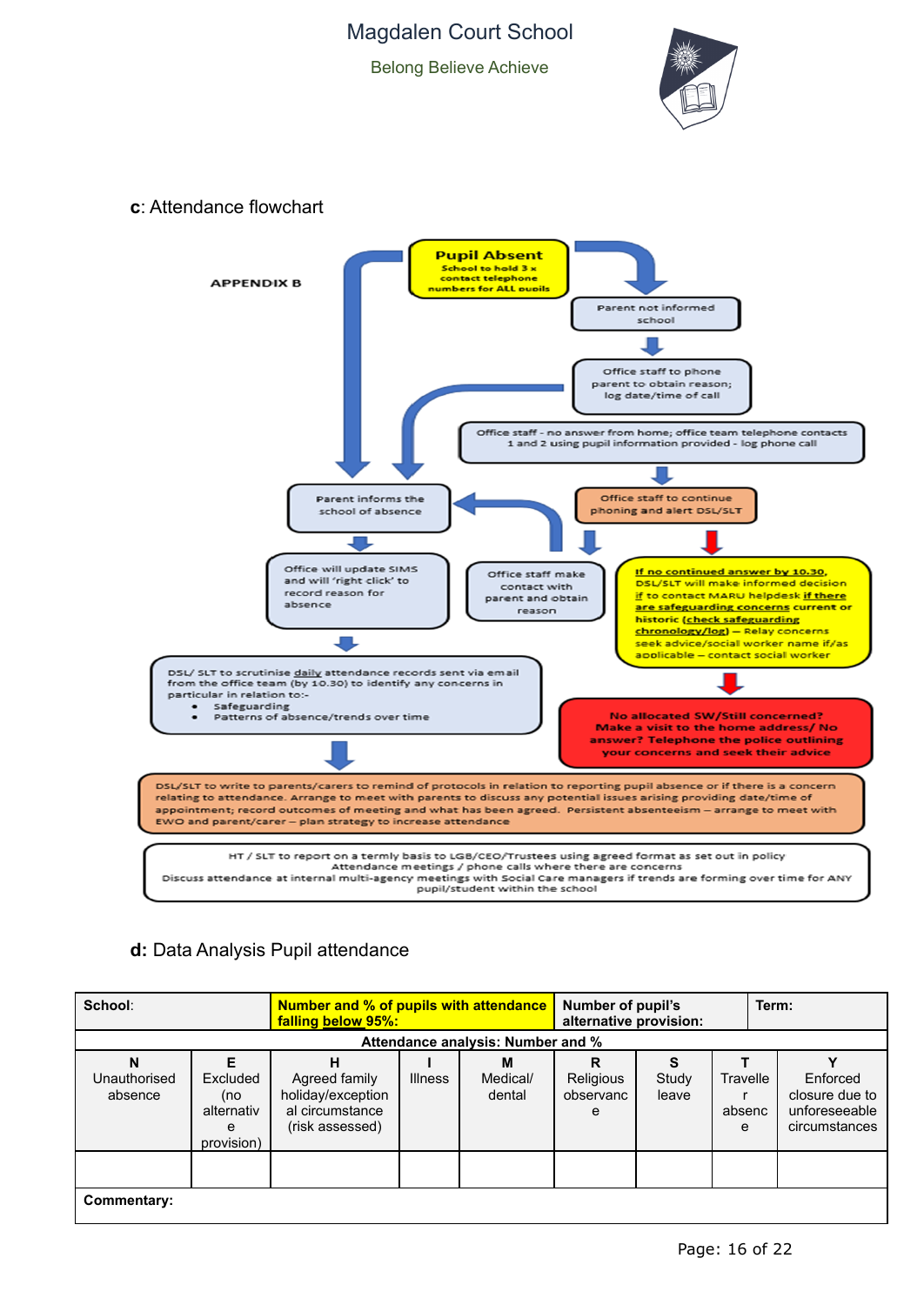Belong Believe Achieve



#### **c**: Attendance flowchart



### **d:** Data Analysis Pupil attendance

| School:                      |                                                  | <b>Number and % of pupils with attendance</b><br>falling below 95%:      |                |                                   | Number of pupil's<br>alternative provision: |                |                         | Term:                                                        |  |
|------------------------------|--------------------------------------------------|--------------------------------------------------------------------------|----------------|-----------------------------------|---------------------------------------------|----------------|-------------------------|--------------------------------------------------------------|--|
|                              |                                                  |                                                                          |                | Attendance analysis: Number and % |                                             |                |                         |                                                              |  |
| N<br>Unauthorised<br>absence | Excluded<br>(no<br>alternativ<br>e<br>provision) | Agreed family<br>holiday/exception<br>al circumstance<br>(risk assessed) | <b>Illness</b> | м<br>Medical/<br>dental           | R<br>Religious<br>observanc<br>е            | Study<br>leave | Travelle<br>absenc<br>e | Enforced<br>closure due to<br>unforeseeable<br>circumstances |  |
| Commentary:                  |                                                  |                                                                          |                |                                   |                                             |                |                         |                                                              |  |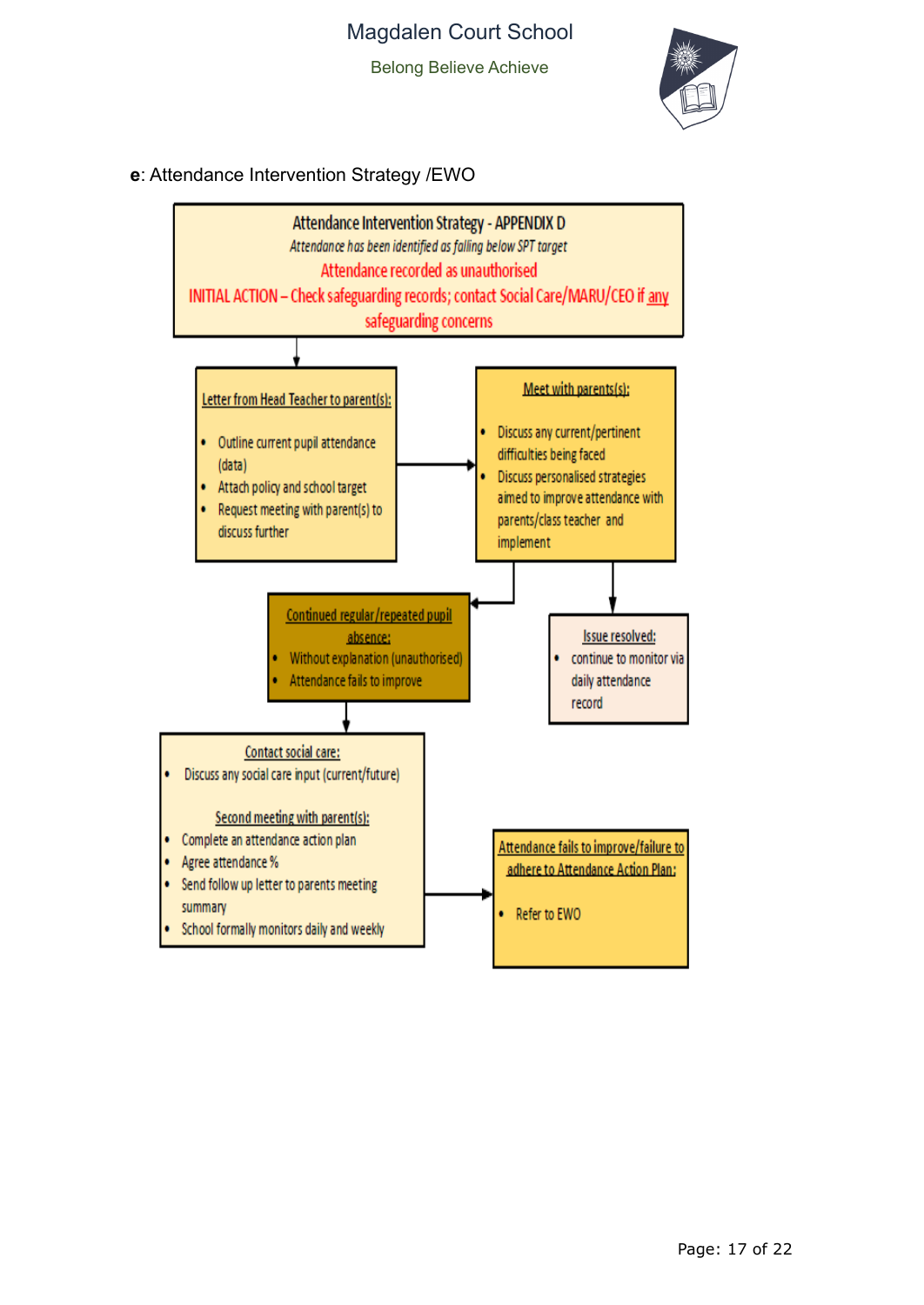Belong Believe Achieve



**e**: Attendance Intervention Strategy /EWO

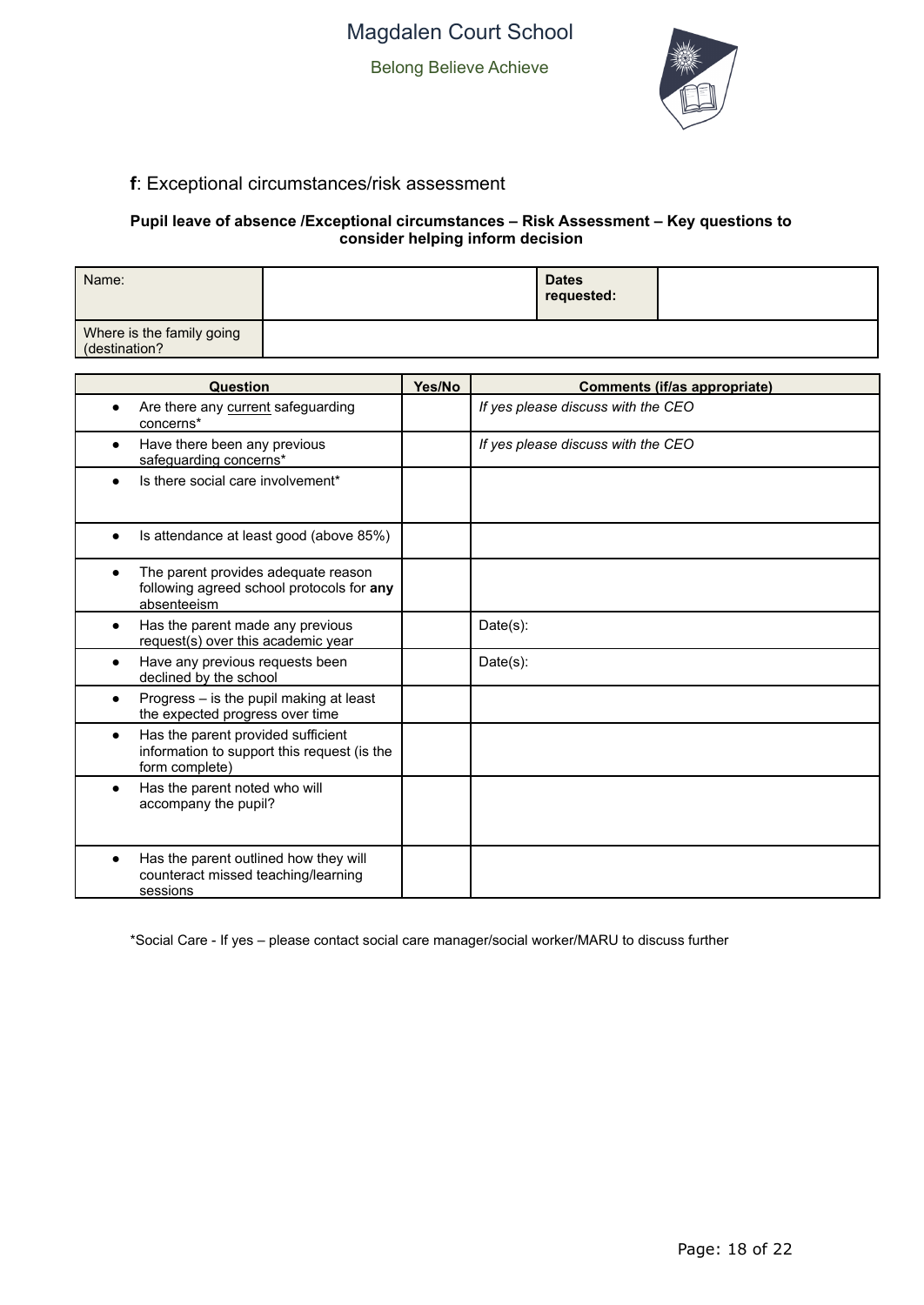

### **f**: Exceptional circumstances/risk assessment

#### **Pupil leave of absence /Exceptional circumstances – Risk Assessment – Key questions to consider helping inform decision**

| Name:                                      | <b>Dates</b><br>requested: |  |
|--------------------------------------------|----------------------------|--|
| Where is the family going<br>(destination? |                            |  |

| Question                                                                                            | Yes/No | Comments (if/as appropriate)       |
|-----------------------------------------------------------------------------------------------------|--------|------------------------------------|
| Are there any current safeguarding<br>concerns*                                                     |        | If yes please discuss with the CEO |
| Have there been any previous<br>safeguarding concerns*                                              |        | If yes please discuss with the CEO |
| Is there social care involvement*                                                                   |        |                                    |
| Is attendance at least good (above 85%)                                                             |        |                                    |
| The parent provides adequate reason<br>following agreed school protocols for any<br>absenteeism     |        |                                    |
| Has the parent made any previous<br>request(s) over this academic year                              |        | Date(s):                           |
| Have any previous requests been<br>declined by the school                                           |        | $Date(s)$ :                        |
| Progress - is the pupil making at least<br>the expected progress over time                          |        |                                    |
| Has the parent provided sufficient<br>information to support this request (is the<br>form complete) |        |                                    |
| Has the parent noted who will<br>accompany the pupil?                                               |        |                                    |
| Has the parent outlined how they will<br>counteract missed teaching/learning<br>sessions            |        |                                    |

\*Social Care - If yes – please contact social care manager/social worker/MARU to discuss further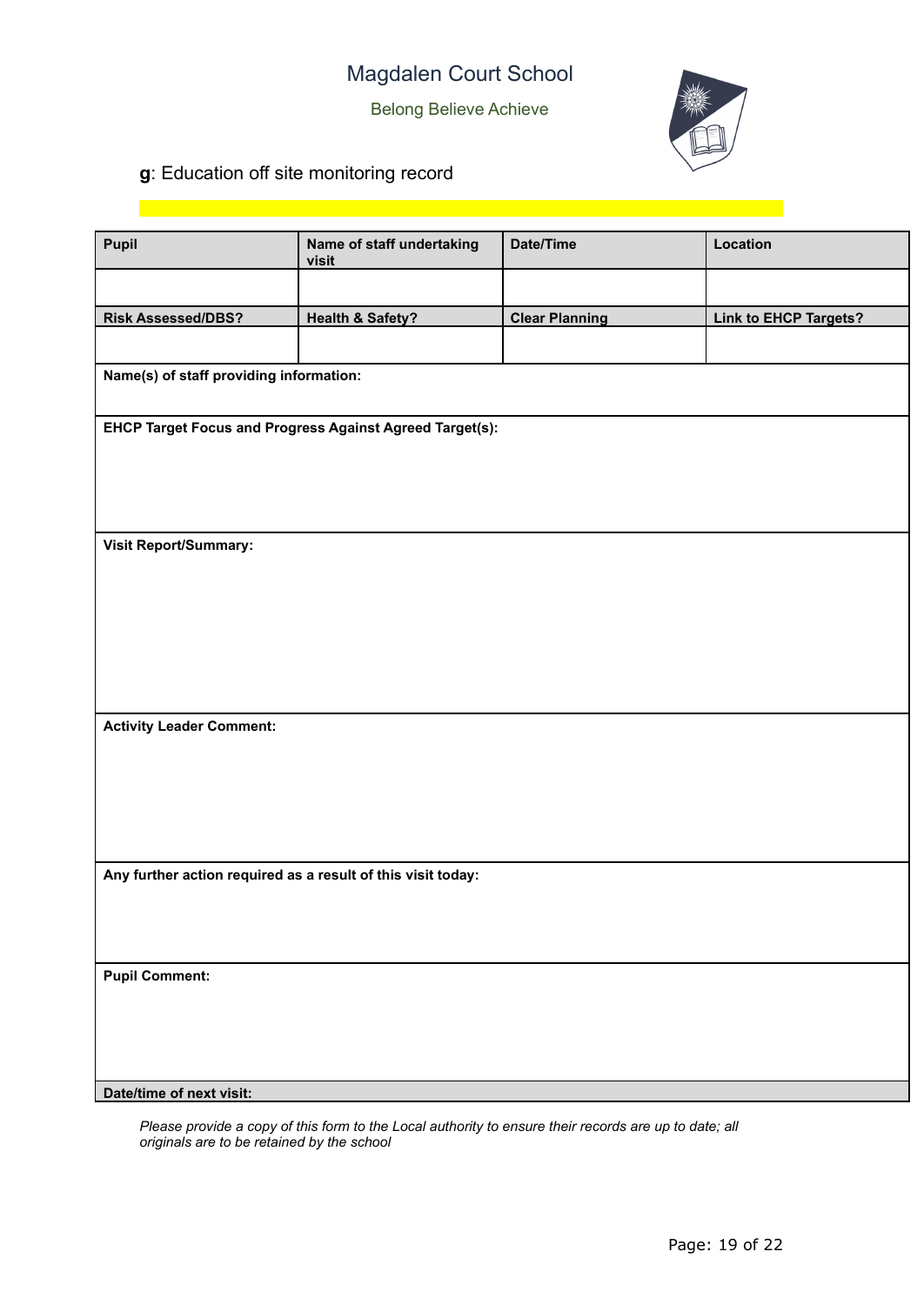Belong Believe Achieve



# **g**: Education off site monitoring record

| Pupil                                                        | Name of staff undertaking<br>visit                       | Date/Time             | Location                     |  |
|--------------------------------------------------------------|----------------------------------------------------------|-----------------------|------------------------------|--|
|                                                              |                                                          |                       |                              |  |
| <b>Risk Assessed/DBS?</b>                                    | <b>Health &amp; Safety?</b>                              | <b>Clear Planning</b> | <b>Link to EHCP Targets?</b> |  |
|                                                              |                                                          |                       |                              |  |
| Name(s) of staff providing information:                      |                                                          |                       |                              |  |
|                                                              | EHCP Target Focus and Progress Against Agreed Target(s): |                       |                              |  |
|                                                              |                                                          |                       |                              |  |
|                                                              |                                                          |                       |                              |  |
| Visit Report/Summary:                                        |                                                          |                       |                              |  |
|                                                              |                                                          |                       |                              |  |
|                                                              |                                                          |                       |                              |  |
|                                                              |                                                          |                       |                              |  |
|                                                              |                                                          |                       |                              |  |
| <b>Activity Leader Comment:</b>                              |                                                          |                       |                              |  |
|                                                              |                                                          |                       |                              |  |
|                                                              |                                                          |                       |                              |  |
|                                                              |                                                          |                       |                              |  |
| Any further action required as a result of this visit today: |                                                          |                       |                              |  |
|                                                              |                                                          |                       |                              |  |
|                                                              |                                                          |                       |                              |  |
|                                                              |                                                          |                       |                              |  |
| <b>Pupil Comment:</b>                                        |                                                          |                       |                              |  |
|                                                              |                                                          |                       |                              |  |
|                                                              |                                                          |                       |                              |  |
| Date/time of next visit:                                     |                                                          |                       |                              |  |

*Please provide a copy of this form to the Local authority to ensure their records are up to date; all originals are to be retained by the school*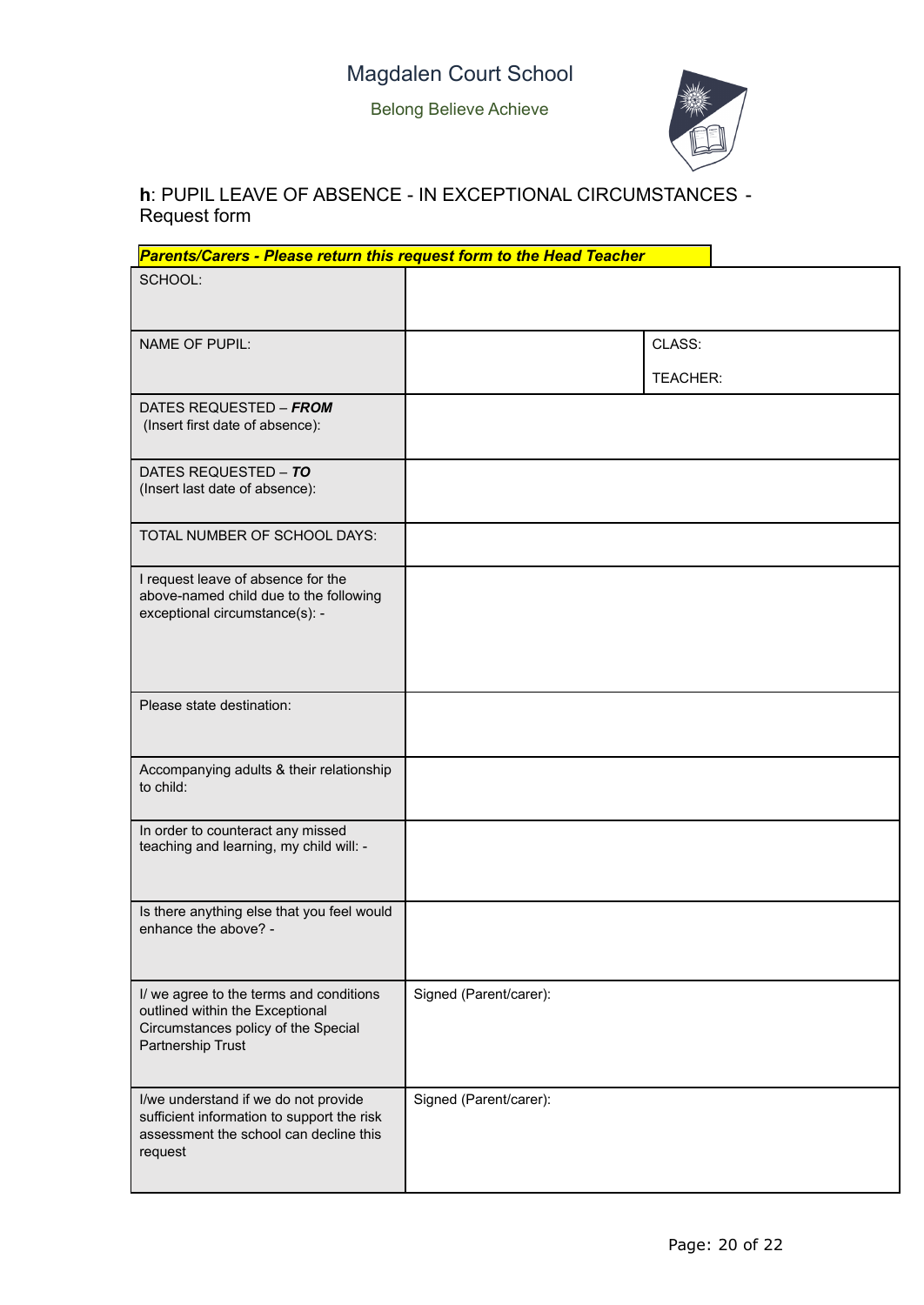

## **h**: PUPIL LEAVE OF ABSENCE - IN EXCEPTIONAL CIRCUMSTANCES - Request form

| Parents/Carers - Please return this request form to the Head Teacher                                                                    |                        |                           |
|-----------------------------------------------------------------------------------------------------------------------------------------|------------------------|---------------------------|
| SCHOOL:                                                                                                                                 |                        |                           |
| <b>NAME OF PUPIL:</b>                                                                                                                   |                        | CLASS:<br><b>TEACHER:</b> |
| DATES REQUESTED - FROM<br>(Insert first date of absence):                                                                               |                        |                           |
| DATES REQUESTED - TO<br>(Insert last date of absence):                                                                                  |                        |                           |
| TOTAL NUMBER OF SCHOOL DAYS:                                                                                                            |                        |                           |
| I request leave of absence for the<br>above-named child due to the following<br>exceptional circumstance(s): -                          |                        |                           |
| Please state destination:                                                                                                               |                        |                           |
| Accompanying adults & their relationship<br>to child:                                                                                   |                        |                           |
| In order to counteract any missed<br>teaching and learning, my child will: -                                                            |                        |                           |
| Is there anything else that you feel would<br>enhance the above? -                                                                      |                        |                           |
| I/ we agree to the terms and conditions<br>outlined within the Exceptional<br>Circumstances policy of the Special<br>Partnership Trust  | Signed (Parent/carer): |                           |
| I/we understand if we do not provide<br>sufficient information to support the risk<br>assessment the school can decline this<br>request | Signed (Parent/carer): |                           |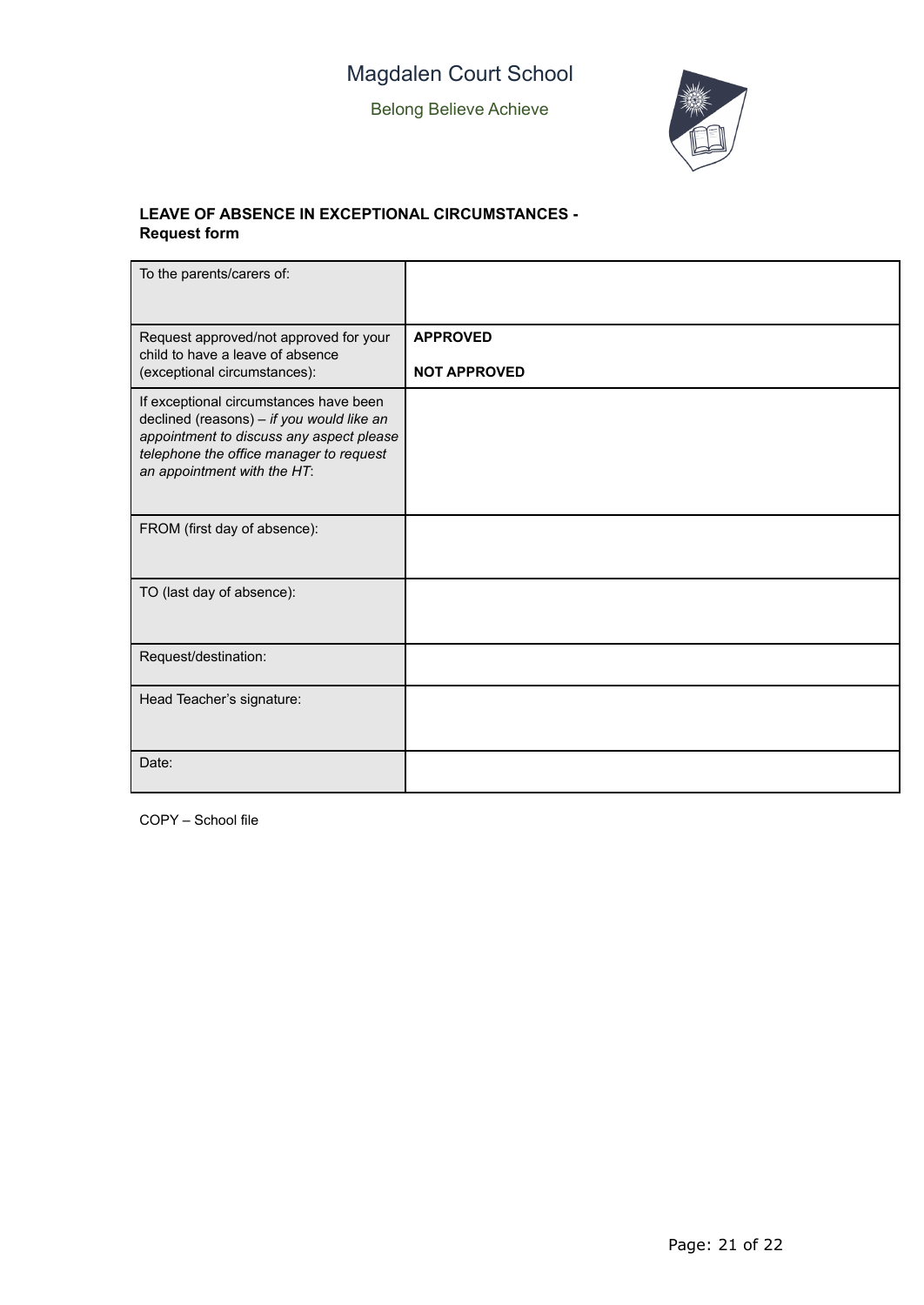

#### **LEAVE OF ABSENCE IN EXCEPTIONAL CIRCUMSTANCES - Request form**

| To the parents/carers of:                                                                                                                                                                                 |                                        |
|-----------------------------------------------------------------------------------------------------------------------------------------------------------------------------------------------------------|----------------------------------------|
| Request approved/not approved for your<br>child to have a leave of absence<br>(exceptional circumstances):                                                                                                | <b>APPROVED</b><br><b>NOT APPROVED</b> |
| If exceptional circumstances have been<br>declined (reasons) - if you would like an<br>appointment to discuss any aspect please<br>telephone the office manager to request<br>an appointment with the HT: |                                        |
| FROM (first day of absence):                                                                                                                                                                              |                                        |
| TO (last day of absence):                                                                                                                                                                                 |                                        |
| Request/destination:                                                                                                                                                                                      |                                        |
| Head Teacher's signature:                                                                                                                                                                                 |                                        |
| Date:                                                                                                                                                                                                     |                                        |

COPY – School file